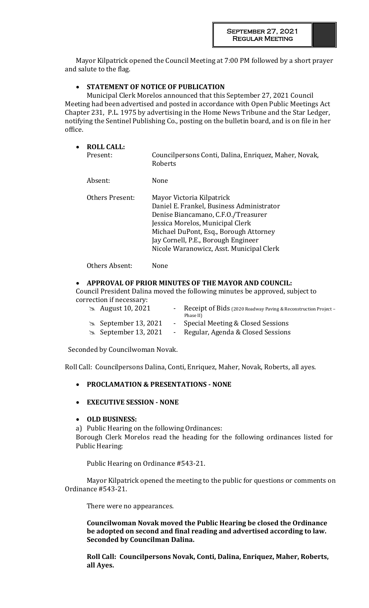Mayor Kilpatrick opened the Council Meeting at 7:00 PM followed by a short prayer and salute to the flag.

# **STATEMENT OF NOTICE OF PUBLICATION**

Municipal Clerk Morelos announced that this September 27, 2021 Council Meeting had been advertised and posted in accordance with Open Public Meetings Act Chapter 231, P.L. 1975 by advertising in the Home News Tribune and the Star Ledger, notifying the Sentinel Publishing Co., posting on the bulletin board, and is on file in her office.

| $\bullet$ | <b>ROLL CALL:</b><br>Present: | Councilpersons Conti, Dalina, Enriquez, Maher, Novak,<br>Roberts                                                                                                                                                                                                               |
|-----------|-------------------------------|--------------------------------------------------------------------------------------------------------------------------------------------------------------------------------------------------------------------------------------------------------------------------------|
|           | Absent:                       | None                                                                                                                                                                                                                                                                           |
|           | Others Present:               | Mayor Victoria Kilpatrick<br>Daniel E. Frankel, Business Administrator<br>Denise Biancamano, C.F.O./Treasurer<br>Jessica Morelos, Municipal Clerk<br>Michael DuPont, Esq., Borough Attorney<br>Jay Cornell, P.E., Borough Engineer<br>Nicole Waranowicz, Asst. Municipal Clerk |
|           | Others Absent:                | None                                                                                                                                                                                                                                                                           |

# **APPROVAL OF PRIOR MINUTES OF THE MAYOR AND COUNCIL:**

Council President Dalina moved the following minutes be approved, subject to correction if necessary:

| $\approx$ August 10, 2021    | - Receipt of Bids (2020 Roadway Paving & Reconstruction Project -<br>Phase II) |
|------------------------------|--------------------------------------------------------------------------------|
| $\approx$ September 13, 2021 | - Special Meeting & Closed Sessions                                            |
| $\approx$ September 13, 2021 | - Regular, Agenda & Closed Sessions                                            |

Seconded by Councilwoman Novak.

Roll Call: Councilpersons Dalina, Conti, Enriquez, Maher, Novak, Roberts, all ayes.

# **PROCLAMATION & PRESENTATIONS - NONE**

# **EXECUTIVE SESSION - NONE**

# **OLD BUSINESS:**

a) Public Hearing on the following Ordinances:

Borough Clerk Morelos read the heading for the following ordinances listed for Public Hearing:

Public Hearing on Ordinance #543-21.

Mayor Kilpatrick opened the meeting to the public for questions or comments on Ordinance #543-21.

There were no appearances.

**Councilwoman Novak moved the Public Hearing be closed the Ordinance be adopted on second and final reading and advertised according to law. Seconded by Councilman Dalina.** 

**Roll Call: Councilpersons Novak, Conti, Dalina, Enriquez, Maher, Roberts, all Ayes.**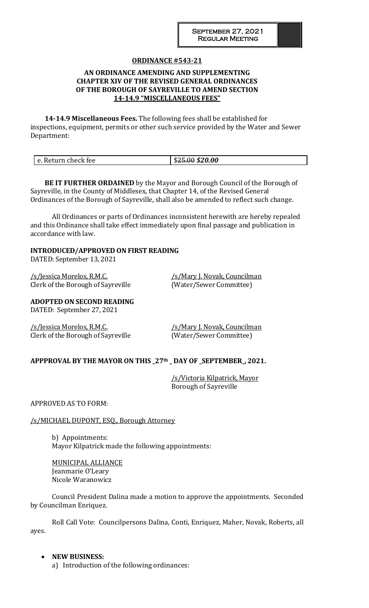# **ORDINANCE #543-21**

# **AN ORDINANCE AMENDING AND SUPPLEMENTING CHAPTER XIV OF THE REVISED GENERAL ORDINANCES OF THE BOROUGH OF SAYREVILLE TO AMEND SECTION 14-14.9 "MISCELLANEOUS FEES"**

**14-14.9 Miscellaneous Fees.** The following fees shall be established for inspections, equipment, permits or other such service provided by the Water and Sewer Department:

| $\Omega$<br>ጦገ |                     |                               |
|----------------|---------------------|-------------------------------|
|                | e. Return check fee | \$20.00<br>ง <del>∠ว.บบ</del> |

**BE IT FURTHER ORDAINED** by the Mayor and Borough Council of the Borough of Sayreville, in the County of Middlesex, that Chapter 14, of the Revised General Ordinances of the Borough of Sayreville, shall also be amended to reflect such change.

All Ordinances or parts of Ordinances inconsistent herewith are hereby repealed and this Ordinance shall take effect immediately upon final passage and publication in accordance with law.

# **INTRODUCED/APPROVED ON FIRST READING**

DATED: September 13, 2021

/s/Jessica Morelos, R.M.C. /s/Mary J. Novak, Councilman Clerk of the Borough of Sayreville (Water/Sewer Committee)

**ADOPTED ON SECOND READING** DATED: September 27, 2021

/s/Jessica Morelos, R.M.C. /s/Mary J. Novak, Councilman Clerk of the Borough of Sayreville (Water/Sewer Committee)

# **APPPROVAL BY THE MAYOR ON THIS \_27th \_ DAY OF \_SEPTEMBER\_, 2021.**

/s/Victoria Kilpatrick, Mayor Borough of Sayreville

APPROVED AS TO FORM:

/s/MICHAEL DUPONT, ESQ., Borough Attorney

b) Appointments: Mayor Kilpatrick made the following appointments:

MUNICIPAL ALLIANCE Jeanmarie O'Leary Nicole Waranowicz

Council President Dalina made a motion to approve the appointments. Seconded by Councilman Enriquez.

Roll Call Vote: Councilpersons Dalina, Conti, Enriquez, Maher, Novak, Roberts, all ayes.

# **NEW BUSINESS:**

a) Introduction of the following ordinances: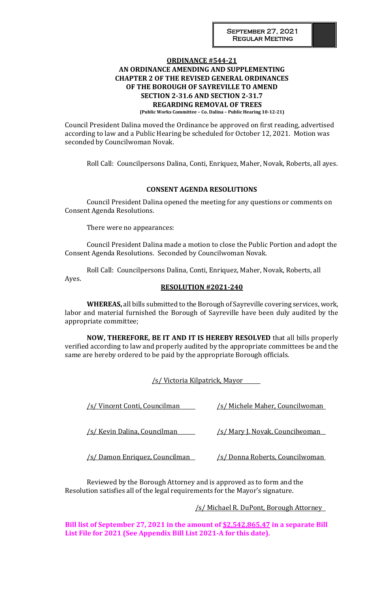# **ORDINANCE #544-21 AN ORDINANCE AMENDING AND SUPPLEMENTING CHAPTER 2 OF THE REVISED GENERAL ORDINANCES OF THE BOROUGH OF SAYREVILLE TO AMEND SECTION 2-31.6 AND SECTION 2-31.7 REGARDING REMOVAL OF TREES**

 **(Public Works Committee – Co. Dalina – Public Hearing 10-12-21)**

Council President Dalina moved the Ordinance be approved on first reading, advertised according to law and a Public Hearing be scheduled for October 12, 2021. Motion was seconded by Councilwoman Novak.

Roll Call: Councilpersons Dalina, Conti, Enriquez, Maher, Novak, Roberts, all ayes.

# **CONSENT AGENDA RESOLUTIONS**

Council President Dalina opened the meeting for any questions or comments on Consent Agenda Resolutions.

There were no appearances:

Council President Dalina made a motion to close the Public Portion and adopt the Consent Agenda Resolutions. Seconded by Councilwoman Novak.

Roll Call: Councilpersons Dalina, Conti, Enriquez, Maher, Novak, Roberts, all Ayes.

#### **RESOLUTION #2021-240**

**WHEREAS,** all bills submitted to the Borough of Sayreville covering services, work, labor and material furnished the Borough of Sayreville have been duly audited by the appropriate committee;

**NOW, THEREFORE, BE IT AND IT IS HEREBY RESOLVED** that all bills properly verified according to law and properly audited by the appropriate committees be and the same are hereby ordered to be paid by the appropriate Borough officials.

/s/ Victoria Kilpatrick, Mayor

| /s/ Vincent Conti, Councilman  | <u>/s/ Michele Maher, Councilwoman</u> |
|--------------------------------|----------------------------------------|
| /s/ Kevin Dalina, Councilman   | <u>/s/ Mary J. Novak, Councilwoman</u> |
| /s/ Damon Enriquez, Councilman | /s/ Donna Roberts, Councilwoman        |

Reviewed by the Borough Attorney and is approved as to form and the Resolution satisfies all of the legal requirements for the Mayor's signature.

/s/ Michael R. DuPont, Borough Attorney

**Bill list of September 27, 2021 in the amount of \$2,542,865.47 in a separate Bill List File for 2021 (See Appendix Bill List 2021-A for this date).**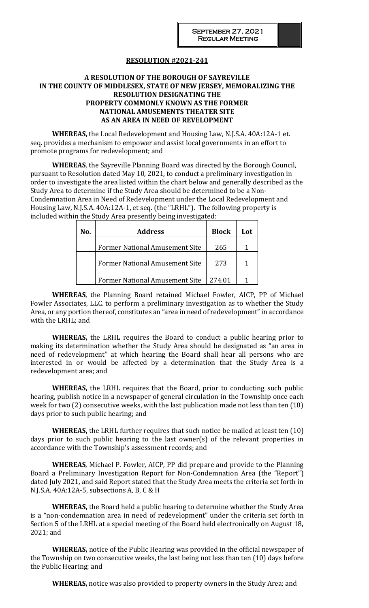# **RESOLUTION #2021-241**

# **A RESOLUTION OF THE BOROUGH OF SAYREVILLE IN THE COUNTY OF MIDDLESEX, STATE OF NEW JERSEY, MEMORALIZING THE RESOLUTION DESIGNATING THE PROPERTY COMMONLY KNOWN AS THE FORMER NATIONAL AMUSEMENTS THEATER SITE AS AN AREA IN NEED OF REVELOPMENT**

**WHEREAS,** the Local Redevelopment and Housing Law, N.J.S.A. 40A:12A-1 et. seq. provides a mechanism to empower and assist local governments in an effort to promote programs for redevelopment; and

**WHEREAS**, the Sayreville Planning Board was directed by the Borough Council, pursuant to Resolution dated May 10, 2021, to conduct a preliminary investigation in order to investigate the area listed within the chart below and generally described as the Study Area to determine if the Study Area should be determined to be a Non-Condemnation Area in Need of Redevelopment under the Local Redevelopment and Housing Law, N.J.S.A. 40A:12A-1, et seq. (the "LRHL"). The following property is included within the Study Area presently being investigated:

| Nο. | <b>Address</b>                        | <b>Block</b> | Lot. |
|-----|---------------------------------------|--------------|------|
|     | <b>Former National Amusement Site</b> | 265          |      |
|     | <b>Former National Amusement Site</b> | 273          |      |
|     | <b>Former National Amusement Site</b> | 274.01       |      |

**WHEREAS**, the Planning Board retained Michael Fowler, AICP, PP of Michael Fowler Associates, LLC. to perform a preliminary investigation as to whether the Study Area, or any portion thereof, constitutes an "area in need of redevelopment" in accordance with the LRHL; and

**WHEREAS,** the LRHL requires the Board to conduct a public hearing prior to making its determination whether the Study Area should be designated as "an area in need of redevelopment" at which hearing the Board shall hear all persons who are interested in or would be affected by a determination that the Study Area is a redevelopment area; and

**WHEREAS,** the LRHL requires that the Board, prior to conducting such public hearing, publish notice in a newspaper of general circulation in the Township once each week for two (2) consecutive weeks, with the last publication made not less than ten (10) days prior to such public hearing; and

**WHEREAS,** the LRHL further requires that such notice be mailed at least ten (10) days prior to such public hearing to the last owner(s) of the relevant properties in accordance with the Township's assessment records; and

**WHEREAS**, Michael P. Fowler, AICP, PP did prepare and provide to the Planning Board a Preliminary Investigation Report for Non-Condemnation Area (the "Report") dated July 2021, and said Report stated that the Study Area meets the criteria set forth in N.J.S.A. 40A:12A-5, subsections A, B, C & H

**WHEREAS,** the Board held a public hearing to determine whether the Study Area is a "non-condemnation area in need of redevelopment" under the criteria set forth in Section 5 of the LRHL at a special meeting of the Board held electronically on August 18, 2021; and

**WHEREAS,** notice of the Public Hearing was provided in the official newspaper of the Township on two consecutive weeks, the last being not less than ten (10) days before the Public Hearing; and

**WHEREAS,** notice was also provided to property owners in the Study Area; and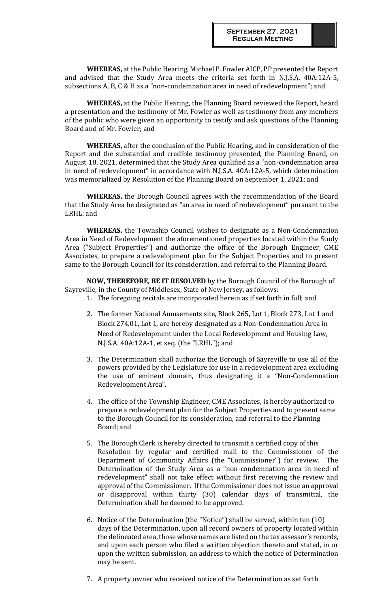**WHEREAS,** at the Public Hearing, Michael P. Fowler AICP, PP presented the Report and advised that the Study Area meets the criteria set forth in  $N.I.S.A.$  40A:12A-5, subsections A, B, C & H as a "non-condemnation area in need of redevelopment"; and

**WHEREAS,** at the Public Hearing, the Planning Board reviewed the Report, heard a presentation and the testimony of Mr. Fowler as well as testimony from any members of the public who were given an opportunity to testify and ask questions of the Planning Board and of Mr. Fowler; and

**WHEREAS,** after the conclusion of the Public Hearing, and in consideration of the Report and the substantial and credible testimony presented, the Planning Board, on August 18, 2021, determined that the Study Area qualified as a "non-condemnation area in need of redevelopment" in accordance with N.J.S.A. 40A:12A-5, which determination was memorialized by Resolution of the Planning Board on September 1, 2021; and

**WHEREAS,** the Borough Council agrees with the recommendation of the Board that the Study Area be designated as "an area in need of redevelopment" pursuant to the LRHL; and

**WHEREAS,** the Township Council wishes to designate as a Non-Condemnation Area in Need of Redevelopment the aforementioned properties located within the Study Area ("Subject Properties") and authorize the office of the Borough Engineer, CME Associates, to prepare a redevelopment plan for the Subject Properties and to present same to the Borough Council for its consideration, and referral to the Planning Board.

**NOW, THEREFORE, BE IT RESOLVED** by the Borough Council of the Borough of Sayreville, in the County of Middlesex, State of New Jersey, as follows:

- 1. The foregoing recitals are incorporated herein as if set forth in full; and
	- 2. The former National Amusements site, Block 265, Lot 1, Block 273, Lot 1 and Block 274.01, Lot 1, are hereby designated as a Non-Condemnation Area in Need of Redevelopment under the Local Redevelopment and Housing Law, N.J.S.A. 40A:12A-1, et seq. (the "LRHL"); and
	- 3. The Determination shall authorize the Borough of Sayreville to use all of the powers provided by the Legislature for use in a redevelopment area excluding the use of eminent domain, thus designating it a "Non-Condemnation Redevelopment Area".
	- 4. The office of the Township Engineer, CME Associates, is hereby authorized to prepare a redevelopment plan for the Subject Properties and to present same to the Borough Council for its consideration, and referral to the Planning Board; and
	- 5. The Borough Clerk is hereby directed to transmit a certified copy of this Resolution by regular and certified mail to the Commissioner of the Department of Community Affairs (the "Commissioner") for review. The Determination of the Study Area as a "non-condemnation area in need of redevelopment" shall not take effect without first receiving the review and approval of the Commissioner. If the Commissioner does not issue an approval or disapproval within thirty (30) calendar days of transmittal, the Determination shall be deemed to be approved.
	- 6. Notice of the Determination (the "Notice") shall be served, within ten (10) days of the Determination, upon all record owners of property located within the delineated area, those whose names are listed on the tax assessor's records, and upon each person who filed a written objection thereto and stated, in or upon the written submission, an address to which the notice of Determination may be sent.
	- 7. A property owner who received notice of the Determination as set forth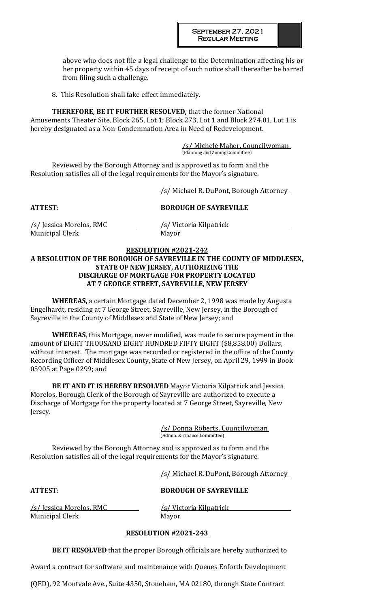above who does not file a legal challenge to the Determination affecting his or her property within 45 days of receipt of such notice shall thereafter be barred from filing such a challenge.

8. This Resolution shall take effect immediately.

**THEREFORE, BE IT FURTHER RESOLVED,** that the former National Amusements Theater Site, Block 265, Lot 1; Block 273, Lot 1 and Block 274.01, Lot 1 is hereby designated as a Non-Condemnation Area in Need of Redevelopment.

> /s/ Michele Maher, Councilwoman (Planning and Zoning Committee)

Reviewed by the Borough Attorney and is approved as to form and the Resolution satisfies all of the legal requirements for the Mayor's signature.

/s/ Michael R. DuPont, Borough Attorney

# **ATTEST: BOROUGH OF SAYREVILLE**

/s/ Jessica Morelos, RMC /s/ Victoria Kilpatrick Municipal Clerk Mayor

# **RESOLUTION #2021-242**

# **A RESOLUTION OF THE BOROUGH OF SAYREVILLE IN THE COUNTY OF MIDDLESEX, STATE OF NEW JERSEY, AUTHORIZING THE DISCHARGE OF MORTGAGE FOR PROPERTY LOCATED AT 7 GEORGE STREET, SAYREVILLE, NEW JERSEY**

**WHEREAS,** a certain Mortgage dated December 2, 1998 was made by Augusta Engelhardt, residing at 7 George Street, Sayreville, New Jersey, in the Borough of Sayreville in the County of Middlesex and State of New Jersey; and

**WHEREAS**, this Mortgage, never modified, was made to secure payment in the amount of EIGHT THOUSAND EIGHT HUNDRED FIFTY EIGHT (\$8,858.00) Dollars, without interest. The mortgage was recorded or registered in the office of the County Recording Officer of Middlesex County, State of New Jersey, on April 29, 1999 in Book 05905 at Page 0299; and

**BE IT AND IT IS HEREBY RESOLVED** Mayor Victoria Kilpatrick and Jessica Morelos, Borough Clerk of the Borough of Sayreville are authorized to execute a Discharge of Mortgage for the property located at 7 George Street, Sayreville, New Jersey.

> /s/ Donna Roberts, Councilwoman (Admin. & Finance Committee)

Reviewed by the Borough Attorney and is approved as to form and the Resolution satisfies all of the legal requirements for the Mayor's signature.

/s/ Michael R. DuPont, Borough Attorney

# **ATTEST: BOROUGH OF SAYREVILLE**

/s/ Jessica Morelos, RMC /s/ Victoria Kilpatrick Municipal Clerk Mayor

# **RESOLUTION #2021-243**

**BE IT RESOLVED** that the proper Borough officials are hereby authorized to

Award a contract for software and maintenance with Queues Enforth Development

(QED), 92 Montvale Ave., Suite 4350, Stoneham, MA 02180, through State Contract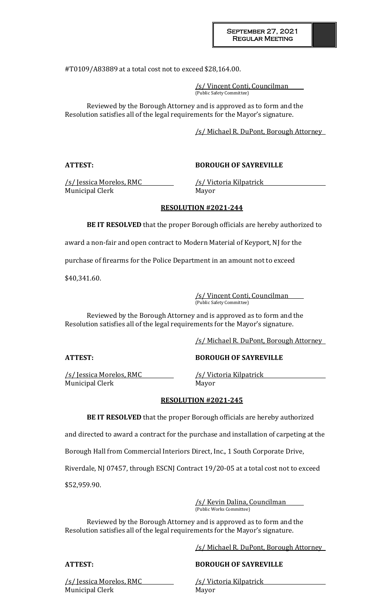#T0109/A83889 at a total cost not to exceed \$28,164.00.

/s/ Vincent Conti, Councilman (Public Safety Committee)

Reviewed by the Borough Attorney and is approved as to form and the Resolution satisfies all of the legal requirements for the Mayor's signature.

/s/ Michael R. DuPont, Borough Attorney

# **ATTEST: BOROUGH OF SAYREVILLE**

/s/ Jessica Morelos, RMC /s/ Victoria Kilpatrick Municipal Clerk Mayor

# **RESOLUTION #2021-244**

**BE IT RESOLVED** that the proper Borough officials are hereby authorized to

award a non-fair and open contract to Modern Material of Keyport, NJ for the

purchase of firearms for the Police Department in an amount not to exceed

\$40,341.60.

/s/ Vincent Conti, Councilman (Public Safety Committee)

Reviewed by the Borough Attorney and is approved as to form and the Resolution satisfies all of the legal requirements for the Mayor's signature.

/s/ Michael R. DuPont, Borough Attorney

/s/ Jessica Morelos, RMC /s/ Victoria Kilpatrick Municipal Clerk Mayor

# **ATTEST: BOROUGH OF SAYREVILLE**

# **RESOLUTION #2021-245**

**BE IT RESOLVED** that the proper Borough officials are hereby authorized

and directed to award a contract for the purchase and installation of carpeting at the

Borough Hall from Commercial Interiors Direct, Inc., 1 South Corporate Drive,

Riverdale, NJ 07457, through ESCNJ Contract 19/20-05 at a total cost not to exceed

\$52,959.90.

/s/ Kevin Dalina, Councilman (Public Works Committee)

Reviewed by the Borough Attorney and is approved as to form and the Resolution satisfies all of the legal requirements for the Mayor's signature.

/s/ Michael R. DuPont, Borough Attorney

# **ATTEST: BOROUGH OF SAYREVILLE**

/s/ Jessica Morelos, RMC /s/ Victoria Kilpatrick Municipal Clerk Mayor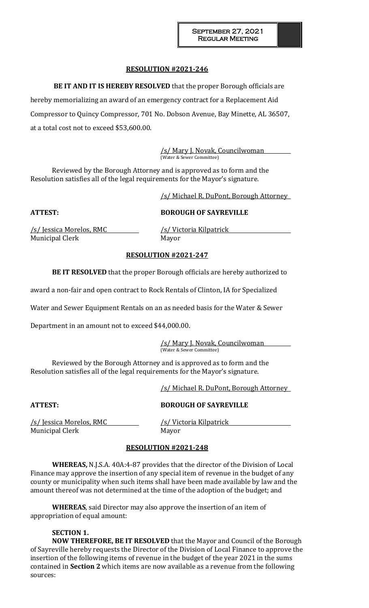# **RESOLUTION #2021-246**

**BE IT AND IT IS HEREBY RESOLVED** that the proper Borough officials are hereby memorializing an award of an emergency contract for a Replacement Aid Compressor to Quincy Compressor, 701 No. Dobson Avenue, Bay Minette, AL 36507, at a total cost not to exceed \$53,600.00.

> /s/ Mary J. Novak, Councilwoman (Water & Sewer Committee)

Reviewed by the Borough Attorney and is approved as to form and the Resolution satisfies all of the legal requirements for the Mayor's signature.

/s/ Michael R. DuPont, Borough Attorney

**ATTEST: BOROUGH OF SAYREVILLE**

Municipal Clerk Mayor

/s/ Jessica Morelos, RMC /s/ Victoria Kilpatrick

# **RESOLUTION #2021-247**

**BE IT RESOLVED** that the proper Borough officials are hereby authorized to

award a non-fair and open contract to Rock Rentals of Clinton, IA for Specialized

Water and Sewer Equipment Rentals on an as needed basis for the Water & Sewer

Department in an amount not to exceed \$44,000.00.

/s/ Mary J. Novak, Councilwoman (Water & Sewer Committee)

Reviewed by the Borough Attorney and is approved as to form and the Resolution satisfies all of the legal requirements for the Mayor's signature.

/s/ Michael R. DuPont, Borough Attorney

# **ATTEST: BOROUGH OF SAYREVILLE**

/s/ Jessica Morelos, RMC /s/ Victoria Kilpatrick Municipal Clerk Mayor

# **RESOLUTION #2021-248**

**WHEREAS,** N.J.S.A. 40A:4-87 provides that the director of the Division of Local Finance may approve the insertion of any special item of revenue in the budget of any county or municipality when such items shall have been made available by law and the amount thereof was not determined at the time of the adoption of the budget; and

**WHEREAS**, said Director may also approve the insertion of an item of appropriation of equal amount:

# **SECTION 1.**

**NOW THEREFORE, BE IT RESOLVED** that the Mayor and Council of the Borough of Sayreville hereby requests the Director of the Division of Local Finance to approve the insertion of the following items of revenue in the budget of the year 2021 in the sums contained in **Section 2** which items are now available as a revenue from the following sources: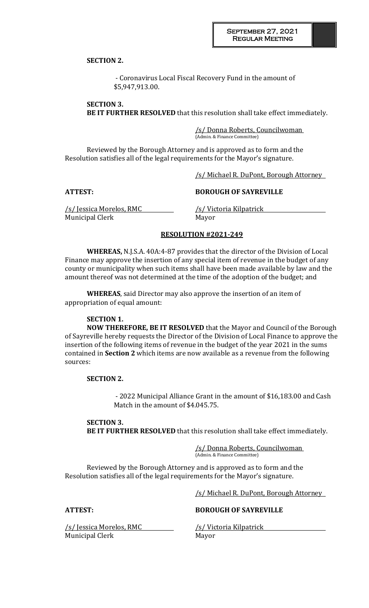**SECTION 2.**

- Coronavirus Local Fiscal Recovery Fund in the amount of \$5,947,913.00.

**SECTION 3. BE IT FURTHER RESOLVED** that this resolution shall take effect immediately.

> /s/ Donna Roberts, Councilwoman (Admin. & Finance Committee)

Reviewed by the Borough Attorney and is approved as to form and the Resolution satisfies all of the legal requirements for the Mayor's signature.

/s/ Michael R. DuPont, Borough Attorney

### **ATTEST: BOROUGH OF SAYREVILLE**

Municipal Clerk Mayor

/s/ Jessica Morelos, RMC /s/ Victoria Kilpatrick

# **RESOLUTION #2021-249**

**WHEREAS,** N.J.S.A. 40A:4-87 provides that the director of the Division of Local Finance may approve the insertion of any special item of revenue in the budget of any county or municipality when such items shall have been made available by law and the amount thereof was not determined at the time of the adoption of the budget; and

**WHEREAS**, said Director may also approve the insertion of an item of appropriation of equal amount:

# **SECTION 1.**

**NOW THEREFORE, BE IT RESOLVED** that the Mayor and Council of the Borough of Sayreville hereby requests the Director of the Division of Local Finance to approve the insertion of the following items of revenue in the budget of the year 2021 in the sums contained in **Section 2** which items are now available as a revenue from the following sources:

#### **SECTION 2.**

- 2022 Municipal Alliance Grant in the amount of \$16,183.00 and Cash Match in the amount of \$4.045.75.

# **SECTION 3.**

**BE IT FURTHER RESOLVED** that this resolution shall take effect immediately.

/s/ Donna Roberts, Councilwoman (Admin. & Finance Committee)

Reviewed by the Borough Attorney and is approved as to form and the Resolution satisfies all of the legal requirements for the Mayor's signature.

/s/ Michael R. DuPont, Borough Attorney

/s/ Jessica Morelos, RMC /s/ Victoria Kilpatrick Municipal Clerk Mayor

**ATTEST: BOROUGH OF SAYREVILLE**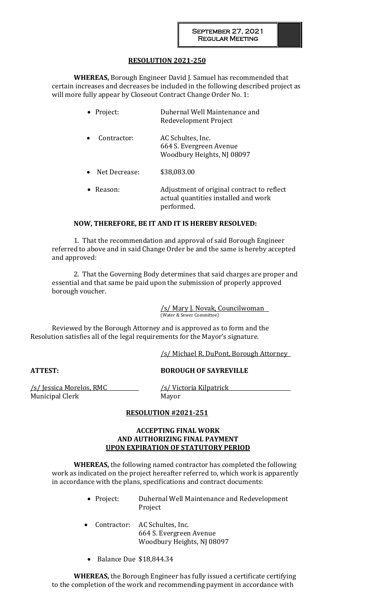# **RESOLUTION 2021-250**

**WHEREAS,** Borough Engineer David J. Samuel has recommended that certain increases and decreases be included in the following described project as will more fully appear by Closeout Contract Change Order No. 1:

| • Project: | Duhernal Well Maintenance and |
|------------|-------------------------------|
|            | Redevelopment Project         |
|            |                               |

- Contractor: AC Schultes, Inc. 664 S. Evergreen Avenue Woodbury Heights, NJ 08097
- Net Decrease: \$38,083.00
- Reason: Adjustment of original contract to reflect actual quantities installed and work performed.

# **NOW, THEREFORE, BE IT AND IT IS HEREBY RESOLVED:**

1. That the recommendation and approval of said Borough Engineer referred to above and in said Change Order be and the same is hereby accepted and approved:

2. That the Governing Body determines that said charges are proper and essential and that same be paid upon the submission of properly approved borough voucher.

> /s/ Mary J. Novak, Councilwoman (Water & Sewer Committee)

Reviewed by the Borough Attorney and is approved as to form and the Resolution satisfies all of the legal requirements for the Mayor's signature.

/s/ Michael R. DuPont, Borough Attorney

**ATTEST: BOROUGH OF SAYREVILLE**

/s/ Jessica Morelos, RMC /s/ Victoria Kilpatrick Municipal Clerk Mayor

# **RESOLUTION #2021-251**

# **ACCEPTING FINAL WORK AND AUTHORIZING FINAL PAYMENT UPON EXPIRATION OF STATUTORY PERIOD**

**WHEREAS,** the following named contractor has completed the following work as indicated on the project hereafter referred to, which work is apparently in accordance with the plans, specifications and contract documents:

- Project: Duhernal Well Maintenance and Redevelopment Project
- Contractor: AC Schultes, Inc. 664 S. Evergreen Avenue Woodbury Heights, NJ 08097
- Balance Due \$18,844.34

**WHEREAS,** the Borough Engineer has fully issued a certificate certifying to the completion of the work and recommending payment in accordance with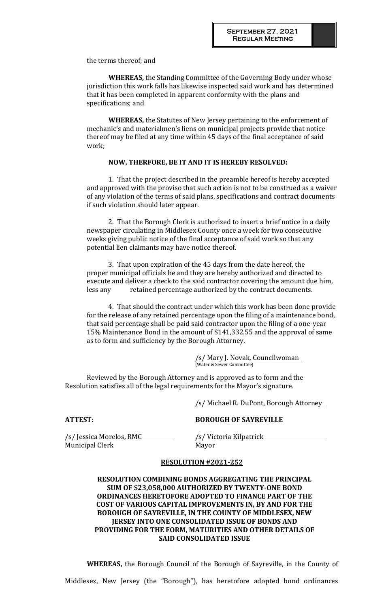the terms thereof; and

**WHEREAS,** the Standing Committee of the Governing Body under whose jurisdiction this work falls has likewise inspected said work and has determined that it has been completed in apparent conformity with the plans and specifications; and

**WHEREAS,** the Statutes of New Jersey pertaining to the enforcement of mechanic's and materialmen's liens on municipal projects provide that notice thereof may be filed at any time within 45 days of the final acceptance of said work;

# **NOW, THERFORE, BE IT AND IT IS HEREBY RESOLVED:**

1. That the project described in the preamble hereof is hereby accepted and approved with the proviso that such action is not to be construed as a waiver of any violation of the terms of said plans, specifications and contract documents if such violation should later appear.

2. That the Borough Clerk is authorized to insert a brief notice in a daily newspaper circulating in Middlesex County once a week for two consecutive weeks giving public notice of the final acceptance of said work so that any potential lien claimants may have notice thereof.

3. That upon expiration of the 45 days from the date hereof, the proper municipal officials be and they are hereby authorized and directed to execute and deliver a check to the said contractor covering the amount due him, less any retained percentage authorized by the contract documents.

4. That should the contract under which this work has been done provide for the release of any retained percentage upon the filing of a maintenance bond, that said percentage shall be paid said contractor upon the filing of a one-year 15% Maintenance Bond in the amount of \$141,332.55 and the approval of same as to form and sufficiency by the Borough Attorney.

> /s/ Mary J. Novak, Councilwoman (Water & Sewer Committee)

Reviewed by the Borough Attorney and is approved as to form and the Resolution satisfies all of the legal requirements for the Mayor's signature.

/s/ Michael R. DuPont, Borough Attorney

# **ATTEST: BOROUGH OF SAYREVILLE**

/s/ Jessica Morelos, RMC /s/ Victoria Kilpatrick Municipal Clerk Mayor

# **RESOLUTION #2021-252**

**RESOLUTION COMBINING BONDS AGGREGATING THE PRINCIPAL SUM OF \$23,058,000 AUTHORIZED BY TWENTY-ONE BOND ORDINANCES HERETOFORE ADOPTED TO FINANCE PART OF THE COST OF VARIOUS CAPITAL IMPROVEMENTS IN, BY AND FOR THE BOROUGH OF SAYREVILLE, IN THE COUNTY OF MIDDLESEX, NEW JERSEY INTO ONE CONSOLIDATED ISSUE OF BONDS AND PROVIDING FOR THE FORM, MATURITIES AND OTHER DETAILS OF SAID CONSOLIDATED ISSUE**

**WHEREAS,** the Borough Council of the Borough of Sayreville, in the County of

Middlesex, New Jersey (the "Borough"), has heretofore adopted bond ordinances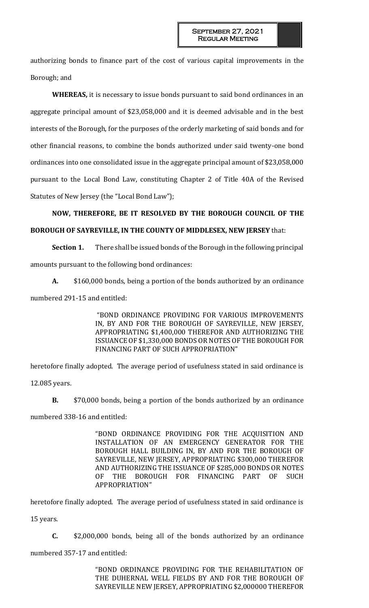authorizing bonds to finance part of the cost of various capital improvements in the Borough; and

**WHEREAS,** it is necessary to issue bonds pursuant to said bond ordinances in an aggregate principal amount of \$23,058,000 and it is deemed advisable and in the best interests of the Borough, for the purposes of the orderly marketing of said bonds and for other financial reasons, to combine the bonds authorized under said twenty-one bond ordinances into one consolidated issue in the aggregate principal amount of \$23,058,000 pursuant to the Local Bond Law, constituting Chapter 2 of Title 40A of the Revised Statutes of New Jersey (the "Local Bond Law");

# **NOW, THEREFORE, BE IT RESOLVED BY THE BOROUGH COUNCIL OF THE BOROUGH OF SAYREVILLE, IN THE COUNTY OF MIDDLESEX, NEW JERSEY** that:

**Section 1.** There shall be issued bonds of the Borough in the following principal amounts pursuant to the following bond ordinances:

**A.** \$160,000 bonds, being a portion of the bonds authorized by an ordinance

numbered 291-15 and entitled:

"BOND ORDINANCE PROVIDING FOR VARIOUS IMPROVEMENTS IN, BY AND FOR THE BOROUGH OF SAYREVILLE, NEW JERSEY, APPROPRIATING \$1,400,000 THEREFOR AND AUTHORIZING THE ISSUANCE OF \$1,330,000 BONDS OR NOTES OF THE BOROUGH FOR FINANCING PART OF SUCH APPROPRIATION"

heretofore finally adopted. The average period of usefulness stated in said ordinance is 12.085 years.

**B.** \$70,000 bonds, being a portion of the bonds authorized by an ordinance numbered 338-16 and entitled:

> "BOND ORDINANCE PROVIDING FOR THE ACQUISITION AND INSTALLATION OF AN EMERGENCY GENERATOR FOR THE BOROUGH HALL BUILDING IN, BY AND FOR THE BOROUGH OF SAYREVILLE, NEW JERSEY, APPROPRIATING \$300,000 THEREFOR AND AUTHORIZING THE ISSUANCE OF \$285,000 BONDS OR NOTES OF THE BOROUGH FOR FINANCING PART OF SUCH APPROPRIATION"

heretofore finally adopted. The average period of usefulness stated in said ordinance is

15 years.

**C.** \$2,000,000 bonds, being all of the bonds authorized by an ordinance numbered 357-17 and entitled:

> "BOND ORDINANCE PROVIDING FOR THE REHABILITATION OF THE DUHERNAL WELL FIELDS BY AND FOR THE BOROUGH OF SAYREVILLE NEW JERSEY, APPROPRIATING \$2,000000 THEREFOR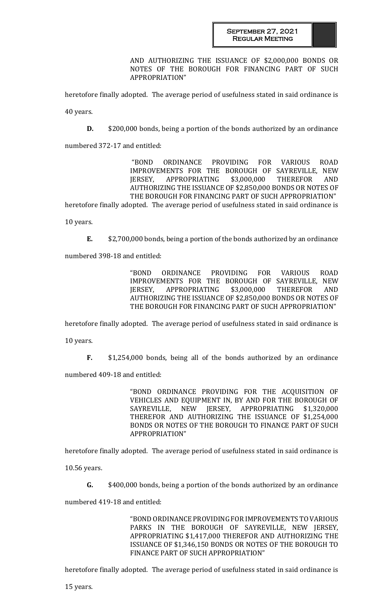AND AUTHORIZING THE ISSUANCE OF \$2,000,000 BONDS OR NOTES OF THE BOROUGH FOR FINANCING PART OF SUCH APPROPRIATION"

heretofore finally adopted. The average period of usefulness stated in said ordinance is

40 years.

**D.** \$200,000 bonds, being a portion of the bonds authorized by an ordinance

numbered 372-17 and entitled:

"BOND ORDINANCE PROVIDING FOR VARIOUS ROAD IMPROVEMENTS FOR THE BOROUGH OF SAYREVILLE, NEW JERSEY, APPROPRIATING \$3,000,000 THEREFOR AND AUTHORIZING THE ISSUANCE OF \$2,850,000 BONDS OR NOTES OF THE BOROUGH FOR FINANCING PART OF SUCH APPROPRIATION" heretofore finally adopted. The average period of usefulness stated in said ordinance is

10 years.

**E.** \$2,700,000 bonds, being a portion of the bonds authorized by an ordinance

numbered 398-18 and entitled:

"BOND ORDINANCE PROVIDING FOR VARIOUS ROAD IMPROVEMENTS FOR THE BOROUGH OF SAYREVILLE, NEW JERSEY, APPROPRIATING \$3,000,000 THEREFOR AND AUTHORIZING THE ISSUANCE OF \$2,850,000 BONDS OR NOTES OF THE BOROUGH FOR FINANCING PART OF SUCH APPROPRIATION"

heretofore finally adopted. The average period of usefulness stated in said ordinance is

10 years.

**F.** \$1,254,000 bonds, being all of the bonds authorized by an ordinance

numbered 409-18 and entitled:

"BOND ORDINANCE PROVIDING FOR THE ACQUISITION OF VEHICLES AND EQUIPMENT IN, BY AND FOR THE BOROUGH OF SAYREVILLE, NEW JERSEY, APPROPRIATING \$1,320,000 THEREFOR AND AUTHORIZING THE ISSUANCE OF \$1,254,000 BONDS OR NOTES OF THE BOROUGH TO FINANCE PART OF SUCH APPROPRIATION"

heretofore finally adopted. The average period of usefulness stated in said ordinance is

10.56 years.

**G.** \$400,000 bonds, being a portion of the bonds authorized by an ordinance

numbered 419-18 and entitled:

"BOND ORDINANCE PROVIDING FOR IMPROVEMENTS TO VARIOUS PARKS IN THE BOROUGH OF SAYREVILLE, NEW JERSEY, APPROPRIATING \$1,417,000 THEREFOR AND AUTHORIZING THE ISSUANCE OF \$1,346,150 BONDS OR NOTES OF THE BOROUGH TO FINANCE PART OF SUCH APPROPRIATION"

heretofore finally adopted. The average period of usefulness stated in said ordinance is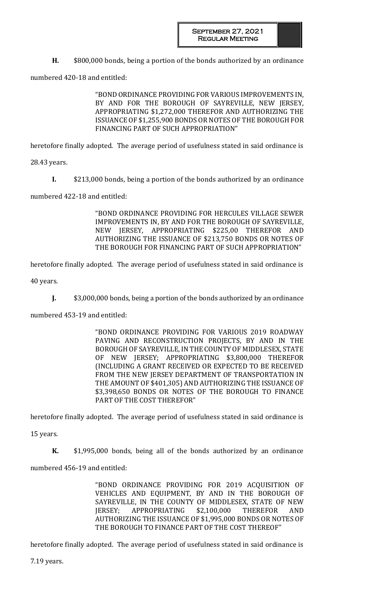**H.** \$800,000 bonds, being a portion of the bonds authorized by an ordinance

numbered 420-18 and entitled:

"BOND ORDINANCE PROVIDING FOR VARIOUS IMPROVEMENTS IN, BY AND FOR THE BOROUGH OF SAYREVILLE, NEW JERSEY, APPROPRIATING \$1,272,000 THEREFOR AND AUTHORIZING THE ISSUANCE OF \$1,255,900 BONDS OR NOTES OF THE BOROUGH FOR FINANCING PART OF SUCH APPROPRIATION"

heretofore finally adopted. The average period of usefulness stated in said ordinance is

28.43 years.

**I.** \$213,000 bonds, being a portion of the bonds authorized by an ordinance

numbered 422-18 and entitled:

"BOND ORDINANCE PROVIDING FOR HERCULES VILLAGE SEWER IMPROVEMENTS IN, BY AND FOR THE BOROUGH OF SAYREVILLE, NEW JERSEY, APPROPRIATING \$225,00 THEREFOR AND AUTHORIZING THE ISSUANCE OF \$213,750 BONDS OR NOTES OF THE BOROUGH FOR FINANCING PART OF SUCH APPROPRIATION"

heretofore finally adopted. The average period of usefulness stated in said ordinance is

40 years.

**J.** \$3,000,000 bonds, being a portion of the bonds authorized by an ordinance

numbered 453-19 and entitled:

"BOND ORDINANCE PROVIDING FOR VARIOUS 2019 ROADWAY PAVING AND RECONSTRUCTION PROJECTS, BY AND IN THE BOROUGH OF SAYREVILLE, IN THE COUNTY OF MIDDLESEX, STATE OF NEW JERSEY; APPROPRIATING \$3,800,000 THEREFOR (INCLUDING A GRANT RECEIVED OR EXPECTED TO BE RECEIVED FROM THE NEW JERSEY DEPARTMENT OF TRANSPORTATION IN THE AMOUNT OF \$401,305) AND AUTHORIZING THE ISSUANCE OF \$3,398,650 BONDS OR NOTES OF THE BOROUGH TO FINANCE PART OF THE COST THEREFOR"

heretofore finally adopted. The average period of usefulness stated in said ordinance is

15 years.

**K.** \$1,995,000 bonds, being all of the bonds authorized by an ordinance

numbered 456-19 and entitled:

"BOND ORDINANCE PROVIDING FOR 2019 ACQUISITION OF VEHICLES AND EQUIPMENT, BY AND IN THE BOROUGH OF SAYREVILLE, IN THE COUNTY OF MIDDLESEX, STATE OF NEW JERSEY; APPROPRIATING \$2,100,000 THEREFOR AND AUTHORIZING THE ISSUANCE OF \$1,995,000 BONDS OR NOTES OF THE BOROUGH TO FINANCE PART OF THE COST THEREOF"

heretofore finally adopted. The average period of usefulness stated in said ordinance is

7.19 years.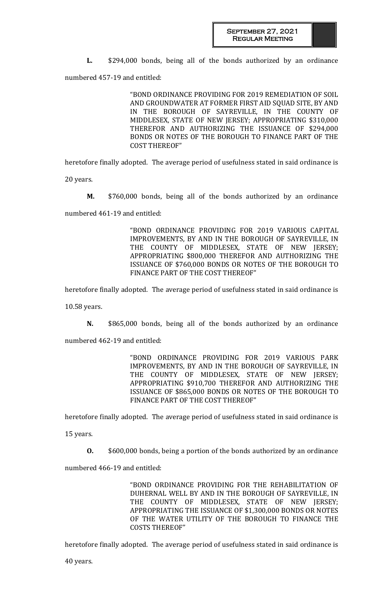**L.** \$294,000 bonds, being all of the bonds authorized by an ordinance

numbered 457-19 and entitled:

"BOND ORDINANCE PROVIDING FOR 2019 REMEDIATION OF SOIL AND GROUNDWATER AT FORMER FIRST AID SQUAD SITE, BY AND IN THE BOROUGH OF SAYREVILLE, IN THE COUNTY OF MIDDLESEX, STATE OF NEW JERSEY; APPROPRIATING \$310,000 THEREFOR AND AUTHORIZING THE ISSUANCE OF \$294,000 BONDS OR NOTES OF THE BOROUGH TO FINANCE PART OF THE COST THEREOF"

heretofore finally adopted. The average period of usefulness stated in said ordinance is

20 years.

**M.** \$760,000 bonds, being all of the bonds authorized by an ordinance

numbered 461-19 and entitled:

"BOND ORDINANCE PROVIDING FOR 2019 VARIOUS CAPITAL IMPROVEMENTS, BY AND IN THE BOROUGH OF SAYREVILLE, IN THE COUNTY OF MIDDLESEX, STATE OF NEW JERSEY; APPROPRIATING \$800,000 THEREFOR AND AUTHORIZING THE ISSUANCE OF \$760,000 BONDS OR NOTES OF THE BOROUGH TO FINANCE PART OF THE COST THEREOF"

heretofore finally adopted. The average period of usefulness stated in said ordinance is

10.58 years.

**N.** \$865,000 bonds, being all of the bonds authorized by an ordinance

numbered 462-19 and entitled:

"BOND ORDINANCE PROVIDING FOR 2019 VARIOUS PARK IMPROVEMENTS, BY AND IN THE BOROUGH OF SAYREVILLE, IN THE COUNTY OF MIDDLESEX, STATE OF NEW JERSEY; APPROPRIATING \$910,700 THEREFOR AND AUTHORIZING THE ISSUANCE OF \$865,000 BONDS OR NOTES OF THE BOROUGH TO FINANCE PART OF THE COST THEREOF"

heretofore finally adopted. The average period of usefulness stated in said ordinance is

15 years.

**O.** \$600,000 bonds, being a portion of the bonds authorized by an ordinance

numbered 466-19 and entitled:

"BOND ORDINANCE PROVIDING FOR THE REHABILITATION OF DUHERNAL WELL BY AND IN THE BOROUGH OF SAYREVILLE, IN THE COUNTY OF MIDDLESEX, STATE OF NEW JERSEY; APPROPRIATING THE ISSUANCE OF \$1,300,000 BONDS OR NOTES OF THE WATER UTILITY OF THE BOROUGH TO FINANCE THE COSTS THEREOF"

heretofore finally adopted. The average period of usefulness stated in said ordinance is

40 years.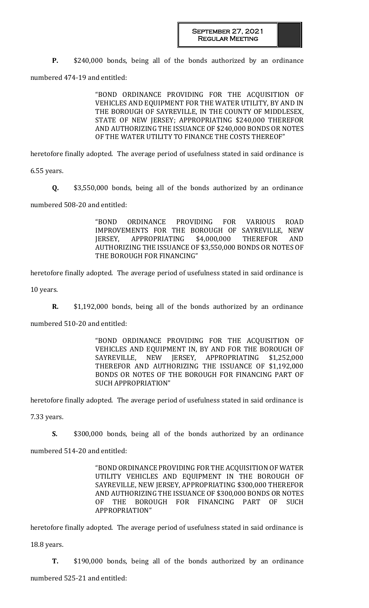**P.** \$240,000 bonds, being all of the bonds authorized by an ordinance

numbered 474-19 and entitled:

"BOND ORDINANCE PROVIDING FOR THE ACQUISITION OF VEHICLES AND EQUIPMENT FOR THE WATER UTILITY, BY AND IN THE BOROUGH OF SAYREVILLE, IN THE COUNTY OF MIDDLESEX, STATE OF NEW JERSEY; APPROPRIATING \$240,000 THEREFOR AND AUTHORIZING THE ISSUANCE OF \$240,000 BONDS OR NOTES OF THE WATER UTILITY TO FINANCE THE COSTS THEREOF"

heretofore finally adopted. The average period of usefulness stated in said ordinance is

6.55 years.

**Q.** \$3,550,000 bonds, being all of the bonds authorized by an ordinance numbered 508-20 and entitled:

> "BOND ORDINANCE PROVIDING FOR VARIOUS ROAD IMPROVEMENTS FOR THE BOROUGH OF SAYREVILLE, NEW JERSEY, APPROPRIATING \$4,000,000 THEREFOR AND AUTHORIZING THE ISSUANCE OF \$3,550,000 BONDS OR NOTES OF THE BOROUGH FOR FINANCING"

heretofore finally adopted. The average period of usefulness stated in said ordinance is

10 years.

**R.** \$1,192,000 bonds, being all of the bonds authorized by an ordinance

numbered 510-20 and entitled:

"BOND ORDINANCE PROVIDING FOR THE ACQUISITION OF VEHICLES AND EQUIPMENT IN, BY AND FOR THE BOROUGH OF SAYREVILLE, NEW JERSEY, APPROPRIATING \$1,252,000 THEREFOR AND AUTHORIZING THE ISSUANCE OF \$1,192,000 BONDS OR NOTES OF THE BOROUGH FOR FINANCING PART OF SUCH APPROPRIATION"

heretofore finally adopted. The average period of usefulness stated in said ordinance is

7.33 years.

**S.** \$300,000 bonds, being all of the bonds authorized by an ordinance numbered 514-20 and entitled:

> "BOND ORDINANCE PROVIDING FOR THE ACQUISITION OF WATER UTILITY VEHICLES AND EQUIPMENT IN THE BOROUGH OF SAYREVILLE, NEW JERSEY, APPROPRIATING \$300,000 THEREFOR AND AUTHORIZING THE ISSUANCE OF \$300,000 BONDS OR NOTES OF THE BOROUGH FOR FINANCING PART OF SUCH APPROPRIATION"

heretofore finally adopted. The average period of usefulness stated in said ordinance is

18.8 years.

**T.** \$190,000 bonds, being all of the bonds authorized by an ordinance

numbered 525-21 and entitled: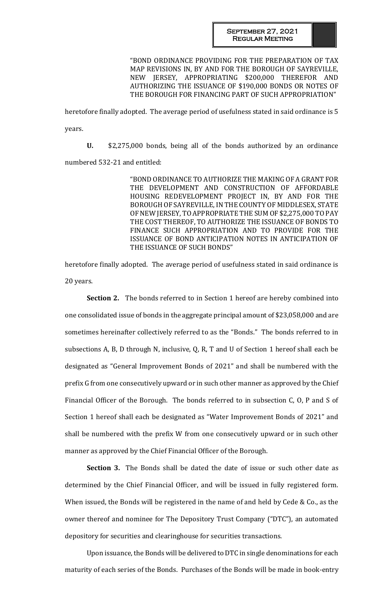#### September 27, 2021 Regular Meeting

"BOND ORDINANCE PROVIDING FOR THE PREPARATION OF TAX MAP REVISIONS IN, BY AND FOR THE BOROUGH OF SAYREVILLE, NEW JERSEY, APPROPRIATING \$200,000 THEREFOR AND AUTHORIZING THE ISSUANCE OF \$190,000 BONDS OR NOTES OF THE BOROUGH FOR FINANCING PART OF SUCH APPROPRIATION"

heretofore finally adopted. The average period of usefulness stated in said ordinance is 5 years.

**U.** \$2,275,000 bonds, being all of the bonds authorized by an ordinance numbered 532-21 and entitled:

> "BOND ORDINANCE TO AUTHORIZE THE MAKING OF A GRANT FOR THE DEVELOPMENT AND CONSTRUCTION OF AFFORDABLE HOUSING REDEVELOPMENT PROJECT IN, BY AND FOR THE BOROUGH OF SAYREVILLE, IN THE COUNTY OF MIDDLESEX, STATE OF NEW JERSEY, TO APPROPRIATE THE SUM OF \$2,275,000 TO PAY THE COST THEREOF, TO AUTHORIZE THE ISSUANCE OF BONDS TO FINANCE SUCH APPROPRIATION AND TO PROVIDE FOR THE ISSUANCE OF BOND ANTICIPATION NOTES IN ANTICIPATION OF THE ISSUANCE OF SUCH BONDS"

heretofore finally adopted. The average period of usefulness stated in said ordinance is 20 years.

**Section 2.** The bonds referred to in Section 1 hereof are hereby combined into one consolidated issue of bonds in the aggregate principal amount of \$23,058,000 and are sometimes hereinafter collectively referred to as the "Bonds." The bonds referred to in subsections A, B, D through N, inclusive, Q, R, T and U of Section 1 hereof shall each be designated as "General Improvement Bonds of 2021" and shall be numbered with the prefix G from one consecutively upward or in such other manner as approved by the Chief Financial Officer of the Borough. The bonds referred to in subsection C, O, P and S of Section 1 hereof shall each be designated as "Water Improvement Bonds of 2021" and shall be numbered with the prefix W from one consecutively upward or in such other manner as approved by the Chief Financial Officer of the Borough.

**Section 3.** The Bonds shall be dated the date of issue or such other date as determined by the Chief Financial Officer, and will be issued in fully registered form. When issued, the Bonds will be registered in the name of and held by Cede & Co., as the owner thereof and nominee for The Depository Trust Company ("DTC"), an automated depository for securities and clearinghouse for securities transactions.

Upon issuance, the Bonds will be delivered to DTC in single denominations for each maturity of each series of the Bonds. Purchases of the Bonds will be made in book-entry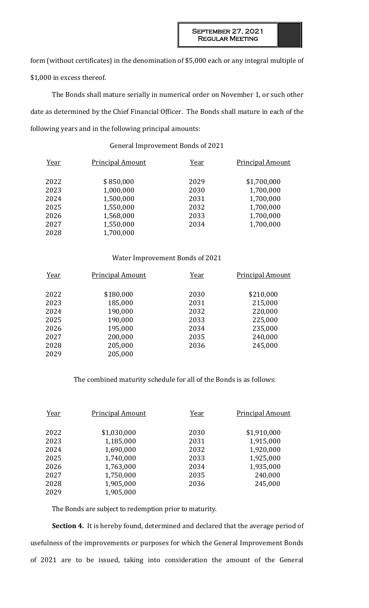form (without certificates) in the denomination of \$5,000 each or any integral multiple of \$1,000 in excess thereof.

The Bonds shall mature serially in numerical order on November 1, or such other date as determined by the Chief Financial Officer. The Bonds shall mature in each of the following years and in the following principal amounts:

# General Improvement Bonds of 2021

| Year | <b>Principal Amount</b> | Year | <b>Principal Amount</b> |
|------|-------------------------|------|-------------------------|
| 2022 | \$850,000               | 2029 | \$1,700,000             |
| 2023 | 1,000,000               | 2030 | 1,700,000               |
| 2024 | 1,500,000               | 2031 | 1,700,000               |
| 2025 | 1,550,000               | 2032 | 1,700,000               |
| 2026 | 1,568,000               | 2033 | 1,700,000               |
| 2027 | 1,550,000               | 2034 | 1,700,000               |
| 2028 | 1,700,000               |      |                         |

## Water Improvement Bonds of 2021

| Year | <b>Principal Amount</b> | Year | <b>Principal Amount</b> |
|------|-------------------------|------|-------------------------|
|      |                         |      |                         |
| 2022 | \$180,000               | 2030 | \$210,000               |
| 2023 | 185,000                 | 2031 | 215,000                 |
| 2024 | 190,000                 | 2032 | 220,000                 |
| 2025 | 190,000                 | 2033 | 225,000                 |
| 2026 | 195,000                 | 2034 | 235,000                 |
| 2027 | 200,000                 | 2035 | 240,000                 |
| 2028 | 205,000                 | 2036 | 245,000                 |
| 2029 | 205,000                 |      |                         |

# The combined maturity schedule for all of the Bonds is as follows:

| Year | <b>Principal Amount</b> | Year | <b>Principal Amount</b> |
|------|-------------------------|------|-------------------------|
| 2022 | \$1,030,000             | 2030 | \$1,910,000             |
| 2023 | 1,185,000               | 2031 | 1,915,000               |
| 2024 | 1,690,000               | 2032 | 1,920,000               |
| 2025 | 1,740,000               | 2033 | 1,925,000               |
| 2026 | 1,763,000               | 2034 | 1,935,000               |
| 2027 | 1,750,000               | 2035 | 240,000                 |
| 2028 | 1,905,000               | 2036 | 245,000                 |
| 2029 | 1,905,000               |      |                         |

The Bonds are subject to redemption prior to maturity.

**Section 4.** It is hereby found, determined and declared that the average period of usefulness of the improvements or purposes for which the General Improvement Bonds of 2021 are to be issued, taking into consideration the amount of the General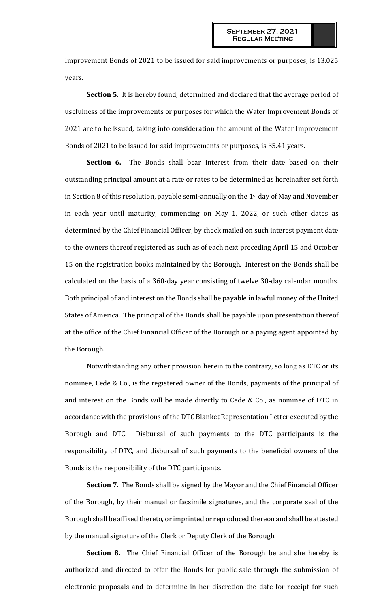Improvement Bonds of 2021 to be issued for said improvements or purposes, is 13.025 years.

**Section 5.** It is hereby found, determined and declared that the average period of usefulness of the improvements or purposes for which the Water Improvement Bonds of 2021 are to be issued, taking into consideration the amount of the Water Improvement Bonds of 2021 to be issued for said improvements or purposes, is 35.41 years.

**Section 6.** The Bonds shall bear interest from their date based on their outstanding principal amount at a rate or rates to be determined as hereinafter set forth in Section 8 of this resolution, payable semi-annually on the 1st day of May and November in each year until maturity, commencing on May 1, 2022, or such other dates as determined by the Chief Financial Officer, by check mailed on such interest payment date to the owners thereof registered as such as of each next preceding April 15 and October 15 on the registration books maintained by the Borough. Interest on the Bonds shall be calculated on the basis of a 360-day year consisting of twelve 30-day calendar months. Both principal of and interest on the Bonds shall be payable in lawful money of the United States of America. The principal of the Bonds shall be payable upon presentation thereof at the office of the Chief Financial Officer of the Borough or a paying agent appointed by the Borough.

Notwithstanding any other provision herein to the contrary, so long as DTC or its nominee, Cede & Co., is the registered owner of the Bonds, payments of the principal of and interest on the Bonds will be made directly to Cede & Co., as nominee of DTC in accordance with the provisions of the DTC Blanket Representation Letter executed by the Borough and DTC. Disbursal of such payments to the DTC participants is the responsibility of DTC, and disbursal of such payments to the beneficial owners of the Bonds is the responsibility of the DTC participants.

**Section 7.** The Bonds shall be signed by the Mayor and the Chief Financial Officer of the Borough, by their manual or facsimile signatures, and the corporate seal of the Borough shall be affixed thereto, or imprinted or reproduced thereon and shall be attested by the manual signature of the Clerk or Deputy Clerk of the Borough.

**Section 8.** The Chief Financial Officer of the Borough be and she hereby is authorized and directed to offer the Bonds for public sale through the submission of electronic proposals and to determine in her discretion the date for receipt for such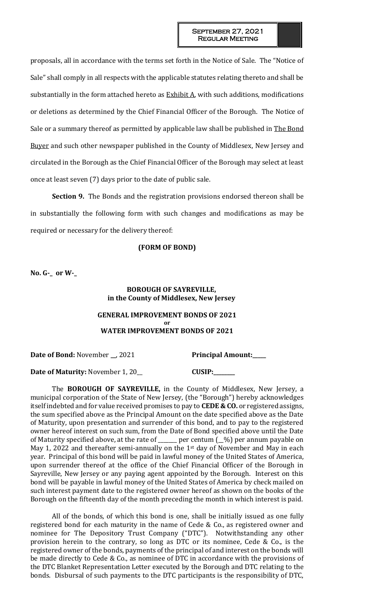proposals, all in accordance with the terms set forth in the Notice of Sale. The "Notice of Sale" shall comply in all respects with the applicable statutes relating thereto and shall be substantially in the form attached hereto as  $\frac{Exhibit A}{A}$ , with such additions, modifications or deletions as determined by the Chief Financial Officer of the Borough. The Notice of Sale or a summary thereof as permitted by applicable law shall be published in The Bond Buyer and such other newspaper published in the County of Middlesex, New Jersey and circulated in the Borough as the Chief Financial Officer of the Borough may select at least once at least seven (7) days prior to the date of public sale.

**Section 9.** The Bonds and the registration provisions endorsed thereon shall be in substantially the following form with such changes and modifications as may be required or necessary for the delivery thereof:

## **(FORM OF BOND)**

**No. G-\_ or W-\_** 

# **BOROUGH OF SAYREVILLE, in the County of Middlesex, New Jersey**

# **GENERAL IMPROVEMENT BONDS OF 2021 or WATER IMPROVEMENT BONDS OF 2021**

**Date of Bond:** November \_, 2021 **Principal Amount:** 

**Date of Maturity:** November 1, 20\_\_ **CUSIP:\_\_\_\_\_\_\_\_**

The **BOROUGH OF SAYREVILLE,** in the County of Middlesex, New Jersey, a municipal corporation of the State of New Jersey, (the "Borough") hereby acknowledges itself indebted and for value received promises to pay to **CEDE & CO.** or registered assigns, the sum specified above as the Principal Amount on the date specified above as the Date of Maturity, upon presentation and surrender of this bond, and to pay to the registered owner hereof interest on such sum, from the Date of Bond specified above until the Date of Maturity specified above, at the rate of \_\_\_\_\_\_\_ per centum (\_\_%) per annum payable on May 1, 2022 and thereafter semi-annually on the 1<sup>st</sup> day of November and May in each year. Principal of this bond will be paid in lawful money of the United States of America, upon surrender thereof at the office of the Chief Financial Officer of the Borough in Sayreville, New Jersey or any paying agent appointed by the Borough. Interest on this bond will be payable in lawful money of the United States of America by check mailed on such interest payment date to the registered owner hereof as shown on the books of the Borough on the fifteenth day of the month preceding the month in which interest is paid.

All of the bonds, of which this bond is one, shall be initially issued as one fully registered bond for each maturity in the name of Cede & Co., as registered owner and nominee for The Depository Trust Company ("DTC"). Notwithstanding any other provision herein to the contrary, so long as DTC or its nominee, Cede & Co., is the registered owner of the bonds, payments of the principal of and interest on the bonds will be made directly to Cede & Co., as nominee of DTC in accordance with the provisions of the DTC Blanket Representation Letter executed by the Borough and DTC relating to the bonds. Disbursal of such payments to the DTC participants is the responsibility of DTC,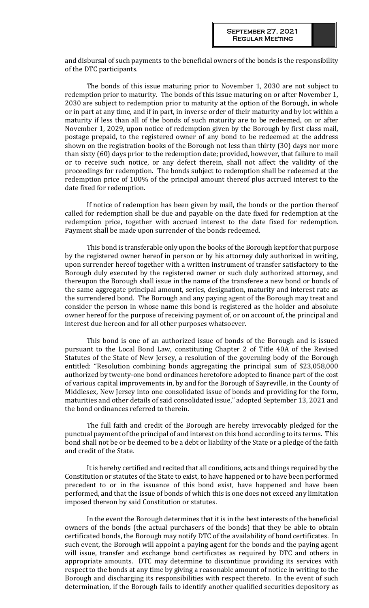and disbursal of such payments to the beneficial owners of the bonds is the responsibility of the DTC participants.

The bonds of this issue maturing prior to November 1, 2030 are not subject to redemption prior to maturity. The bonds of this issue maturing on or after November 1, 2030 are subject to redemption prior to maturity at the option of the Borough, in whole or in part at any time, and if in part, in inverse order of their maturity and by lot within a maturity if less than all of the bonds of such maturity are to be redeemed, on or after November 1, 2029, upon notice of redemption given by the Borough by first class mail, postage prepaid, to the registered owner of any bond to be redeemed at the address shown on the registration books of the Borough not less than thirty (30) days nor more than sixty (60) days prior to the redemption date; provided, however, that failure to mail or to receive such notice, or any defect therein, shall not affect the validity of the proceedings for redemption. The bonds subject to redemption shall be redeemed at the redemption price of 100% of the principal amount thereof plus accrued interest to the date fixed for redemption.

If notice of redemption has been given by mail, the bonds or the portion thereof called for redemption shall be due and payable on the date fixed for redemption at the redemption price, together with accrued interest to the date fixed for redemption. Payment shall be made upon surrender of the bonds redeemed.

This bond is transferable only upon the books of the Borough kept for that purpose by the registered owner hereof in person or by his attorney duly authorized in writing, upon surrender hereof together with a written instrument of transfer satisfactory to the Borough duly executed by the registered owner or such duly authorized attorney, and thereupon the Borough shall issue in the name of the transferee a new bond or bonds of the same aggregate principal amount, series, designation, maturity and interest rate as the surrendered bond. The Borough and any paying agent of the Borough may treat and consider the person in whose name this bond is registered as the holder and absolute owner hereof for the purpose of receiving payment of, or on account of, the principal and interest due hereon and for all other purposes whatsoever.

This bond is one of an authorized issue of bonds of the Borough and is issued pursuant to the Local Bond Law, constituting Chapter 2 of Title 40A of the Revised Statutes of the State of New Jersey, a resolution of the governing body of the Borough entitled: "Resolution combining bonds aggregating the principal sum of \$23,058,000 authorized by twenty-one bond ordinances heretofore adopted to finance part of the cost of various capital improvements in, by and for the Borough of Sayreville, in the County of Middlesex, New Jersey into one consolidated issue of bonds and providing for the form, maturities and other details of said consolidated issue," adopted September 13, 2021 and the bond ordinances referred to therein.

The full faith and credit of the Borough are hereby irrevocably pledged for the punctual payment of the principal of and interest on this bond according to its terms. This bond shall not be or be deemed to be a debt or liability of the State or a pledge of the faith and credit of the State.

It is hereby certified and recited that all conditions, acts and things required by the Constitution or statutes of the State to exist, to have happened or to have been performed precedent to or in the issuance of this bond exist, have happened and have been performed, and that the issue of bonds of which this is one does not exceed any limitation imposed thereon by said Constitution or statutes.

In the event the Borough determines that it is in the best interests of the beneficial owners of the bonds (the actual purchasers of the bonds) that they be able to obtain certificated bonds, the Borough may notify DTC of the availability of bond certificates. In such event, the Borough will appoint a paying agent for the bonds and the paying agent will issue, transfer and exchange bond certificates as required by DTC and others in appropriate amounts. DTC may determine to discontinue providing its services with respect to the bonds at any time by giving a reasonable amount of notice in writing to the Borough and discharging its responsibilities with respect thereto. In the event of such determination, if the Borough fails to identify another qualified securities depository as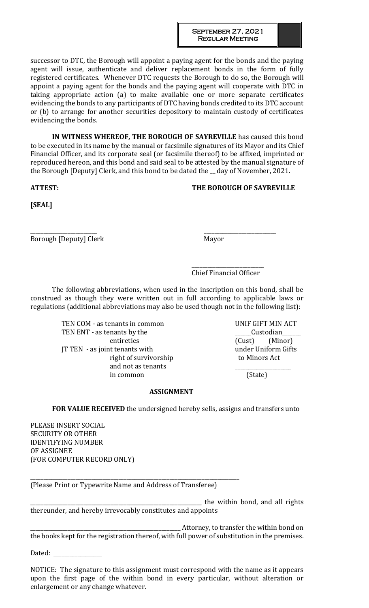successor to DTC, the Borough will appoint a paying agent for the bonds and the paying agent will issue, authenticate and deliver replacement bonds in the form of fully registered certificates. Whenever DTC requests the Borough to do so, the Borough will appoint a paying agent for the bonds and the paying agent will cooperate with DTC in taking appropriate action (a) to make available one or more separate certificates evidencing the bonds to any participants of DTC having bonds credited to its DTC account or (b) to arrange for another securities depository to maintain custody of certificates evidencing the bonds.

**IN WITNESS WHEREOF, THE BOROUGH OF SAYREVILLE** has caused this bond to be executed in its name by the manual or facsimile signatures of its Mayor and its Chief Financial Officer, and its corporate seal (or facsimile thereof) to be affixed, imprinted or reproduced hereon, and this bond and said seal to be attested by the manual signature of the Borough [Deputy] Clerk, and this bond to be dated the \_ day of November, 2021.

# **ATTEST: THE BOROUGH OF SAYREVILLE**

**[SEAL]**

\_\_\_\_\_\_\_\_\_\_\_\_\_\_\_\_\_\_\_\_\_\_\_\_\_ \_\_\_\_\_\_\_\_\_\_\_\_\_\_\_\_\_\_\_\_\_\_\_\_\_\_\_ Borough [Deputy] Clerk Mayor

\_\_\_\_\_\_\_\_\_\_\_\_\_\_\_\_\_\_\_\_\_\_\_\_\_\_\_ Chief Financial Officer

The following abbreviations, when used in the inscription on this bond, shall be construed as though they were written out in full according to applicable laws or regulations (additional abbreviations may also be used though not in the following list):

> TEN COM - as tenants in common UNIF GIFT MIN ACT TEN ENT - as tenants by the **EXECUST CONSERVANT** Custodian entireties (Cust) (Minor) JT TEN - as joint tenants with under Uniform Gifts right of survivorship to Minors Act and not as tenants in common (State)

# **ASSIGNMENT**

**FOR VALUE RECEIVED** the undersigned hereby sells, assigns and transfers unto

PLEASE INSERT SOCIAL SECURITY OR OTHER IDENTIFYING NUMBER OF ASSIGNEE (FOR COMPUTER RECORD ONLY)

\_\_\_\_\_\_\_\_\_\_\_\_\_\_\_\_\_\_\_\_\_\_\_\_\_\_\_\_\_\_\_\_\_\_\_\_\_\_\_\_\_\_\_\_\_\_\_\_\_\_\_\_\_\_\_\_\_\_\_\_\_\_\_\_\_\_\_\_\_\_\_\_\_\_\_\_\_\_ (Please Print or Typewrite Name and Address of Transferee)

\_\_\_\_\_\_\_\_\_\_\_\_\_\_\_\_\_\_\_\_\_\_\_\_\_\_\_\_\_\_\_\_\_\_\_\_\_\_\_\_\_\_\_\_\_\_\_\_\_\_\_\_\_\_\_\_\_\_\_\_\_\_\_\_ the within bond, and all rights thereunder, and hereby irrevocably constitutes and appoints

\_\_\_\_\_\_\_\_\_\_\_\_\_\_\_\_\_\_\_\_\_\_\_\_\_\_\_\_\_\_\_\_\_\_\_\_\_\_\_\_\_\_\_\_\_\_\_\_\_\_\_\_\_\_\_\_ Attorney, to transfer the within bond on the books kept for the registration thereof, with full power of substitution in the premises.

Dated: \_\_\_\_\_\_\_\_\_\_\_\_\_\_\_\_\_\_

NOTICE: The signature to this assignment must correspond with the name as it appears upon the first page of the within bond in every particular, without alteration or enlargement or any change whatever.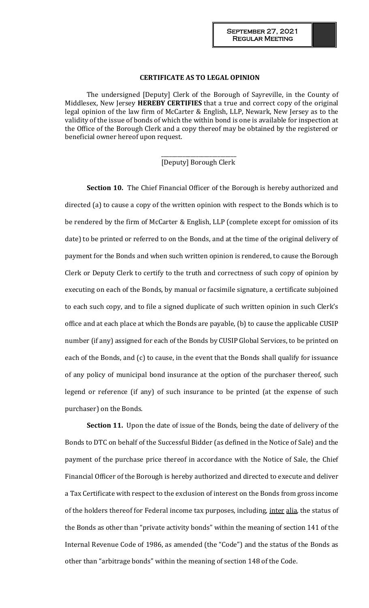#### **CERTIFICATE AS TO LEGAL OPINION**

The undersigned [Deputy] Clerk of the Borough of Sayreville, in the County of Middlesex, New Jersey **HEREBY CERTIFIES** that a true and correct copy of the original legal opinion of the law firm of McCarter & English, LLP, Newark, New Jersey as to the validity of the issue of bonds of which the within bond is one is available for inspection at the Office of the Borough Clerk and a copy thereof may be obtained by the registered or beneficial owner hereof upon request.

## \_\_\_\_\_\_\_\_\_\_\_\_\_\_\_\_\_\_\_\_\_\_\_\_\_\_\_\_ [Deputy] Borough Clerk

**Section 10.** The Chief Financial Officer of the Borough is hereby authorized and directed (a) to cause a copy of the written opinion with respect to the Bonds which is to be rendered by the firm of McCarter & English, LLP (complete except for omission of its date) to be printed or referred to on the Bonds, and at the time of the original delivery of payment for the Bonds and when such written opinion is rendered, to cause the Borough Clerk or Deputy Clerk to certify to the truth and correctness of such copy of opinion by executing on each of the Bonds, by manual or facsimile signature, a certificate subjoined to each such copy, and to file a signed duplicate of such written opinion in such Clerk's office and at each place at which the Bonds are payable, (b) to cause the applicable CUSIP number (if any) assigned for each of the Bonds by CUSIP Global Services, to be printed on each of the Bonds, and (c) to cause, in the event that the Bonds shall qualify for issuance of any policy of municipal bond insurance at the option of the purchaser thereof, such legend or reference (if any) of such insurance to be printed (at the expense of such purchaser) on the Bonds.

**Section 11.** Upon the date of issue of the Bonds, being the date of delivery of the Bonds to DTC on behalf of the Successful Bidder (as defined in the Notice of Sale) and the payment of the purchase price thereof in accordance with the Notice of Sale, the Chief Financial Officer of the Borough is hereby authorized and directed to execute and deliver a Tax Certificate with respect to the exclusion of interest on the Bonds from gross income of the holders thereof for Federal income tax purposes, including, inter alia, the status of the Bonds as other than "private activity bonds" within the meaning of section 141 of the Internal Revenue Code of 1986, as amended (the "Code") and the status of the Bonds as other than "arbitrage bonds" within the meaning of section 148 of the Code.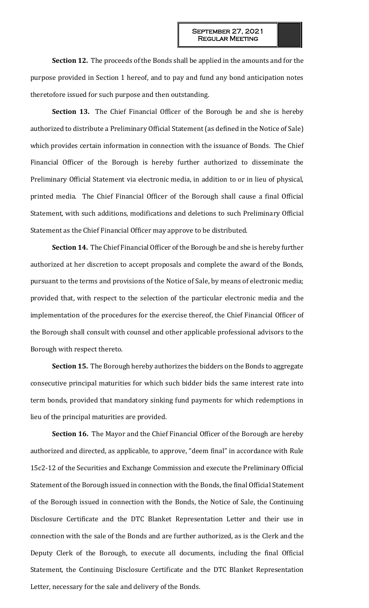**Section 12.** The proceeds of the Bonds shall be applied in the amounts and for the purpose provided in Section 1 hereof, and to pay and fund any bond anticipation notes theretofore issued for such purpose and then outstanding.

**Section 13.** The Chief Financial Officer of the Borough be and she is hereby authorized to distribute a Preliminary Official Statement (as defined in the Notice of Sale) which provides certain information in connection with the issuance of Bonds. The Chief Financial Officer of the Borough is hereby further authorized to disseminate the Preliminary Official Statement via electronic media, in addition to or in lieu of physical, printed media. The Chief Financial Officer of the Borough shall cause a final Official Statement, with such additions, modifications and deletions to such Preliminary Official Statement as the Chief Financial Officer may approve to be distributed.

**Section 14.** The Chief Financial Officer of the Borough be and she is hereby further authorized at her discretion to accept proposals and complete the award of the Bonds, pursuant to the terms and provisions of the Notice of Sale, by means of electronic media; provided that, with respect to the selection of the particular electronic media and the implementation of the procedures for the exercise thereof, the Chief Financial Officer of the Borough shall consult with counsel and other applicable professional advisors to the Borough with respect thereto.

**Section 15.** The Borough hereby authorizes the bidders on the Bonds to aggregate consecutive principal maturities for which such bidder bids the same interest rate into term bonds, provided that mandatory sinking fund payments for which redemptions in lieu of the principal maturities are provided.

**Section 16.** The Mayor and the Chief Financial Officer of the Borough are hereby authorized and directed, as applicable, to approve, "deem final" in accordance with Rule 15c2-12 of the Securities and Exchange Commission and execute the Preliminary Official Statement of the Borough issued in connection with the Bonds, the final Official Statement of the Borough issued in connection with the Bonds, the Notice of Sale, the Continuing Disclosure Certificate and the DTC Blanket Representation Letter and their use in connection with the sale of the Bonds and are further authorized, as is the Clerk and the Deputy Clerk of the Borough, to execute all documents, including the final Official Statement, the Continuing Disclosure Certificate and the DTC Blanket Representation Letter, necessary for the sale and delivery of the Bonds.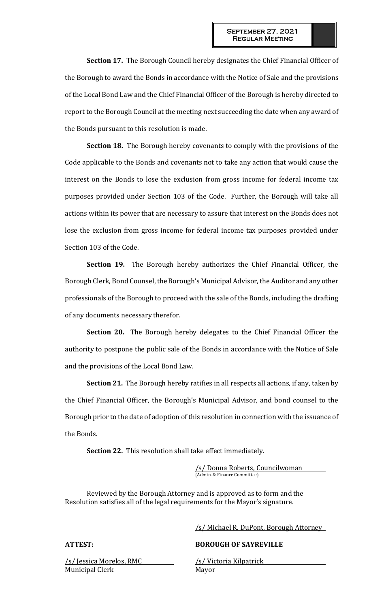**Section 17.** The Borough Council hereby designates the Chief Financial Officer of the Borough to award the Bonds in accordance with the Notice of Sale and the provisions of the Local Bond Law and the Chief Financial Officer of the Borough is hereby directed to report to the Borough Council at the meeting next succeeding the date when any award of the Bonds pursuant to this resolution is made.

**Section 18.** The Borough hereby covenants to comply with the provisions of the Code applicable to the Bonds and covenants not to take any action that would cause the interest on the Bonds to lose the exclusion from gross income for federal income tax purposes provided under Section 103 of the Code. Further, the Borough will take all actions within its power that are necessary to assure that interest on the Bonds does not lose the exclusion from gross income for federal income tax purposes provided under Section 103 of the Code.

**Section 19.** The Borough hereby authorizes the Chief Financial Officer, the Borough Clerk, Bond Counsel, the Borough's Municipal Advisor, the Auditor and any other professionals of the Borough to proceed with the sale of the Bonds, including the drafting of any documents necessary therefor.

**Section 20.** The Borough hereby delegates to the Chief Financial Officer the authority to postpone the public sale of the Bonds in accordance with the Notice of Sale and the provisions of the Local Bond Law.

**Section 21.** The Borough hereby ratifies in all respects all actions, if any, taken by the Chief Financial Officer, the Borough's Municipal Advisor, and bond counsel to the Borough prior to the date of adoption of this resolution in connection with the issuance of the Bonds.

**Section 22.** This resolution shall take effect immediately.

/s/ Donna Roberts, Councilwoman (Admin. & Finance Committee)

Reviewed by the Borough Attorney and is approved as to form and the Resolution satisfies all of the legal requirements for the Mayor's signature.

/s/ Jessica Morelos, RMC /s/ Victoria Kilpatrick Municipal Clerk Mayor

/s/ Michael R. DuPont, Borough Attorney

**ATTEST: BOROUGH OF SAYREVILLE**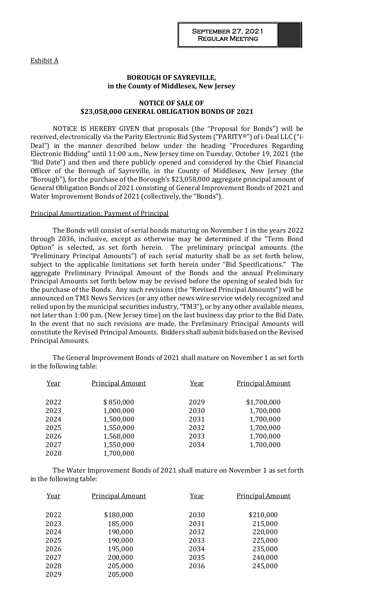Exhibit A

# **BOROUGH OF SAYREVILLE, in the County of Middlesex, New Jersey**

# **NOTICE OF SALE OF \$23,058,000 GENERAL OBLIGATION BONDS OF 2021**

NOTICE IS HEREBY GIVEN that proposals (the "Proposal for Bonds") will be received, electronically via the Parity Electronic Bid System ("PARITY®") of i-Deal LLC ("i-Deal") in the manner described below under the heading "Procedures Regarding Electronic Bidding" until 11:00 a.m., New Jersey time on Tuesday, October 19, 2021 (the "Bid Date") and then and there publicly opened and considered by the Chief Financial Officer of the Borough of Sayreville, in the County of Middlesex, New Jersey (the "Borough"), for the purchase of the Borough's \$23,058,000 aggregate principal amount of General Obligation Bonds of 2021 consisting of General Improvement Bonds of 2021 and Water Improvement Bonds of 2021 (collectively, the "Bonds").

### Principal Amortization; Payment of Principal

The Bonds will consist of serial bonds maturing on November 1 in the years 2022 through 2036, inclusive, except as otherwise may be determined if the "Term Bond Option" is selected, as set forth herein. The preliminary principal amounts (the "Preliminary Principal Amounts") of each serial maturity shall be as set forth below, subject to the applicable limitations set forth herein under "Bid Specifications." The aggregate Preliminary Principal Amount of the Bonds and the annual Preliminary Principal Amounts set forth below may be revised before the opening of sealed bids for the purchase of the Bonds. Any such revisions (the "Revised Principal Amounts") will be announced on TM3 News Services (or any other news wire service widely recognized and relied upon by the municipal securities industry, "TM3"), or by any other available means, not later than 1:00 p.m. (New Jersey time) on the last business day prior to the Bid Date. In the event that no such revisions are made, the Preliminary Principal Amounts will constitute the Revised Principal Amounts. Bidders shall submit bids based on the Revised Principal Amounts.

The General Improvement Bonds of 2021 shall mature on November 1 as set forth in the following table:

| Year | <b>Principal Amount</b> | Year | <b>Principal Amount</b> |
|------|-------------------------|------|-------------------------|
| 2022 | \$850,000               | 2029 | \$1,700,000             |
| 2023 | 1,000,000               | 2030 | 1,700,000               |
| 2024 | 1,500,000               | 2031 | 1,700,000               |
| 2025 | 1,550,000               | 2032 | 1,700,000               |
| 2026 | 1,568,000               | 2033 | 1,700,000               |
| 2027 | 1,550,000               | 2034 | 1,700,000               |
| 2028 | 1,700,000               |      |                         |

The Water Improvement Bonds of 2021 shall mature on November 1 as set forth in the following table:

| Year | <b>Principal Amount</b> | Year | <b>Principal Amount</b> |
|------|-------------------------|------|-------------------------|
| 2022 | \$180,000               | 2030 | \$210,000               |
| 2023 | 185,000                 | 2031 | 215,000                 |
| 2024 | 190,000                 | 2032 | 220,000                 |
| 2025 | 190,000                 | 2033 | 225,000                 |
| 2026 | 195,000                 | 2034 | 235,000                 |
| 2027 | 200,000                 | 2035 | 240,000                 |
| 2028 | 205,000                 | 2036 | 245,000                 |
| 2029 | 205,000                 |      |                         |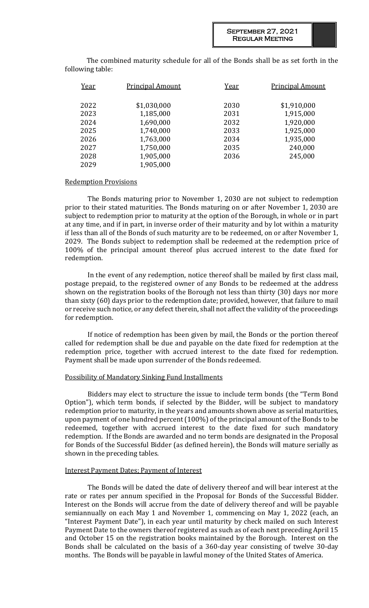The combined maturity schedule for all of the Bonds shall be as set forth in the following table:

| Year | <b>Principal Amount</b> | Year | <b>Principal Amount</b> |
|------|-------------------------|------|-------------------------|
| 2022 | \$1,030,000             | 2030 | \$1,910,000             |
| 2023 | 1,185,000               | 2031 | 1,915,000               |
| 2024 | 1,690,000               | 2032 | 1,920,000               |
| 2025 | 1,740,000               | 2033 | 1,925,000               |
| 2026 | 1,763,000               | 2034 | 1,935,000               |
| 2027 | 1,750,000               | 2035 | 240,000                 |
| 2028 | 1,905,000               | 2036 | 245,000                 |
| 2029 | 1,905,000               |      |                         |

### Redemption Provisions

The Bonds maturing prior to November 1, 2030 are not subject to redemption prior to their stated maturities. The Bonds maturing on or after November 1, 2030 are subject to redemption prior to maturity at the option of the Borough, in whole or in part at any time, and if in part, in inverse order of their maturity and by lot within a maturity if less than all of the Bonds of such maturity are to be redeemed, on or after November 1, 2029. The Bonds subject to redemption shall be redeemed at the redemption price of 100% of the principal amount thereof plus accrued interest to the date fixed for redemption.

In the event of any redemption, notice thereof shall be mailed by first class mail, postage prepaid, to the registered owner of any Bonds to be redeemed at the address shown on the registration books of the Borough not less than thirty (30) days nor more than sixty (60) days prior to the redemption date; provided, however, that failure to mail or receive such notice, or any defect therein, shall not affect the validity of the proceedings for redemption.

If notice of redemption has been given by mail, the Bonds or the portion thereof called for redemption shall be due and payable on the date fixed for redemption at the redemption price, together with accrued interest to the date fixed for redemption. Payment shall be made upon surrender of the Bonds redeemed.

# Possibility of Mandatory Sinking Fund Installments

Bidders may elect to structure the issue to include term bonds (the "Term Bond Option"), which term bonds, if selected by the Bidder, will be subject to mandatory redemption prior to maturity, in the years and amounts shown above as serial maturities, upon payment of one hundred percent (100%) of the principal amount of the Bonds to be redeemed, together with accrued interest to the date fixed for such mandatory redemption. If the Bonds are awarded and no term bonds are designated in the Proposal for Bonds of the Successful Bidder (as defined herein), the Bonds will mature serially as shown in the preceding tables.

#### Interest Payment Dates; Payment of Interest

The Bonds will be dated the date of delivery thereof and will bear interest at the rate or rates per annum specified in the Proposal for Bonds of the Successful Bidder. Interest on the Bonds will accrue from the date of delivery thereof and will be payable semiannually on each May 1 and November 1, commencing on May 1, 2022 (each, an "Interest Payment Date"), in each year until maturity by check mailed on such Interest Payment Date to the owners thereof registered as such as of each next preceding April 15 and October 15 on the registration books maintained by the Borough. Interest on the Bonds shall be calculated on the basis of a 360-day year consisting of twelve 30-day months. The Bonds will be payable in lawful money of the United States of America.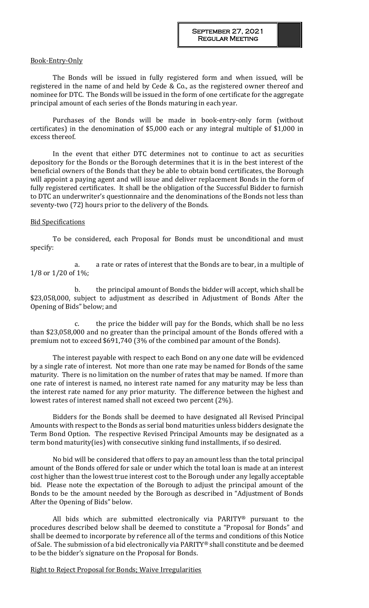#### Book-Entry-Only

The Bonds will be issued in fully registered form and when issued, will be registered in the name of and held by Cede & Co., as the registered owner thereof and nominee for DTC. The Bonds will be issued in the form of one certificate for the aggregate principal amount of each series of the Bonds maturing in each year.

Purchases of the Bonds will be made in book-entry-only form (without certificates) in the denomination of \$5,000 each or any integral multiple of \$1,000 in excess thereof.

In the event that either DTC determines not to continue to act as securities depository for the Bonds or the Borough determines that it is in the best interest of the beneficial owners of the Bonds that they be able to obtain bond certificates, the Borough will appoint a paying agent and will issue and deliver replacement Bonds in the form of fully registered certificates. It shall be the obligation of the Successful Bidder to furnish to DTC an underwriter's questionnaire and the denominations of the Bonds not less than seventy-two (72) hours prior to the delivery of the Bonds.

### Bid Specifications

To be considered, each Proposal for Bonds must be unconditional and must specify:

a. a rate or rates of interest that the Bonds are to bear, in a multiple of 1/8 or 1/20 of 1%;

b. the principal amount of Bonds the bidder will accept, which shall be \$23,058,000, subject to adjustment as described in Adjustment of Bonds After the Opening of Bids" below; and

c. the price the bidder will pay for the Bonds, which shall be no less than \$23,058,000 and no greater than the principal amount of the Bonds offered with a premium not to exceed \$691,740 (3% of the combined par amount of the Bonds).

The interest payable with respect to each Bond on any one date will be evidenced by a single rate of interest. Not more than one rate may be named for Bonds of the same maturity. There is no limitation on the number of rates that may be named. If more than one rate of interest is named, no interest rate named for any maturity may be less than the interest rate named for any prior maturity. The difference between the highest and lowest rates of interest named shall not exceed two percent (2%).

Bidders for the Bonds shall be deemed to have designated all Revised Principal Amounts with respect to the Bonds as serial bond maturities unless bidders designate the Term Bond Option. The respective Revised Principal Amounts may be designated as a term bond maturity(ies) with consecutive sinking fund installments, if so desired.

No bid will be considered that offers to pay an amount less than the total principal amount of the Bonds offered for sale or under which the total loan is made at an interest cost higher than the lowest true interest cost to the Borough under any legally acceptable bid. Please note the expectation of the Borough to adjust the principal amount of the Bonds to be the amount needed by the Borough as described in "Adjustment of Bonds After the Opening of Bids" below.

All bids which are submitted electronically via PARITY® pursuant to the procedures described below shall be deemed to constitute a "Proposal for Bonds" and shall be deemed to incorporate by reference all of the terms and conditions of this Notice of Sale. The submission of a bid electronically via PARITY® shall constitute and be deemed to be the bidder's signature on the Proposal for Bonds.

Right to Reject Proposal for Bonds; Waive Irregularities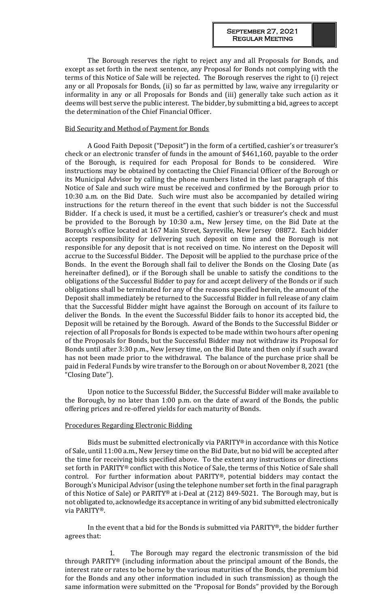The Borough reserves the right to reject any and all Proposals for Bonds, and except as set forth in the next sentence, any Proposal for Bonds not complying with the terms of this Notice of Sale will be rejected. The Borough reserves the right to (i) reject any or all Proposals for Bonds, (ii) so far as permitted by law, waive any irregularity or informality in any or all Proposals for Bonds and (iii) generally take such action as it deems will best serve the public interest. The bidder, by submitting a bid, agrees to accept the determination of the Chief Financial Officer.

## Bid Security and Method of Payment for Bonds

A Good Faith Deposit ("Deposit") in the form of a certified, cashier's or treasurer's check or an electronic transfer of funds in the amount of \$461,160, payable to the order of the Borough, is required for each Proposal for Bonds to be considered. Wire instructions may be obtained by contacting the Chief Financial Officer of the Borough or its Municipal Advisor by calling the phone numbers listed in the last paragraph of this Notice of Sale and such wire must be received and confirmed by the Borough prior to 10:30 a.m. on the Bid Date. Such wire must also be accompanied by detailed wiring instructions for the return thereof in the event that such bidder is not the Successful Bidder. If a check is used, it must be a certified, cashier's or treasurer's check and must be provided to the Borough by 10:30 a.m., New Jersey time, on the Bid Date at the Borough's office located at 167 Main Street, Sayreville, New Jersey 08872. Each bidder accepts responsibility for delivering such deposit on time and the Borough is not responsible for any deposit that is not received on time. No interest on the Deposit will accrue to the Successful Bidder. The Deposit will be applied to the purchase price of the Bonds. In the event the Borough shall fail to deliver the Bonds on the Closing Date (as hereinafter defined), or if the Borough shall be unable to satisfy the conditions to the obligations of the Successful Bidder to pay for and accept delivery of the Bonds or if such obligations shall be terminated for any of the reasons specified herein, the amount of the Deposit shall immediately be returned to the Successful Bidder in full release of any claim that the Successful Bidder might have against the Borough on account of its failure to deliver the Bonds. In the event the Successful Bidder fails to honor its accepted bid, the Deposit will be retained by the Borough. Award of the Bonds to the Successful Bidder or rejection of all Proposals for Bonds is expected to be made within two hours after opening of the Proposals for Bonds, but the Successful Bidder may not withdraw its Proposal for Bonds until after 3:30 p.m., New Jersey time, on the Bid Date and then only if such award has not been made prior to the withdrawal. The balance of the purchase price shall be paid in Federal Funds by wire transfer to the Borough on or about November 8, 2021 (the "Closing Date").

Upon notice to the Successful Bidder, the Successful Bidder will make available to the Borough, by no later than 1:00 p.m. on the date of award of the Bonds, the public offering prices and re-offered yields for each maturity of Bonds.

#### Procedures Regarding Electronic Bidding

Bids must be submitted electronically via PARITY® in accordance with this Notice of Sale, until 11:00 a.m., New Jersey time on the Bid Date, but no bid will be accepted after the time for receiving bids specified above. To the extent any instructions or directions set forth in PARITY® conflict with this Notice of Sale, the terms of this Notice of Sale shall control. For further information about PARITY®, potential bidders may contact the Borough's Municipal Advisor (using the telephone number set forth in the final paragraph of this Notice of Sale) or PARITY® at i-Deal at (212) 849-5021. The Borough may, but is not obligated to, acknowledge its acceptance in writing of any bid submitted electronically via PARITY®.

In the event that a bid for the Bonds is submitted via PARITY®, the bidder further agrees that:

The Borough may regard the electronic transmission of the bid through PARITY® (including information about the principal amount of the Bonds, the interest rate or rates to be borne by the various maturities of the Bonds, the premium bid for the Bonds and any other information included in such transmission) as though the same information were submitted on the "Proposal for Bonds" provided by the Borough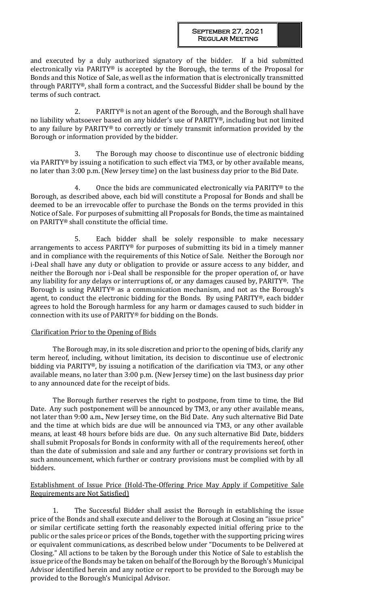and executed by a duly authorized signatory of the bidder. If a bid submitted electronically via PARITY® is accepted by the Borough, the terms of the Proposal for Bonds and this Notice of Sale, as well as the information that is electronically transmitted through PARITY®, shall form a contract, and the Successful Bidder shall be bound by the terms of such contract.

2. PARITY® is not an agent of the Borough, and the Borough shall have no liability whatsoever based on any bidder's use of PARITY®, including but not limited to any failure by PARITY® to correctly or timely transmit information provided by the Borough or information provided by the bidder.

3. The Borough may choose to discontinue use of electronic bidding via PARITY® by issuing a notification to such effect via TM3, or by other available means, no later than 3:00 p.m. (New Jersey time) on the last business day prior to the Bid Date.

4. Once the bids are communicated electronically via PARITY® to the Borough, as described above, each bid will constitute a Proposal for Bonds and shall be deemed to be an irrevocable offer to purchase the Bonds on the terms provided in this Notice of Sale. For purposes of submitting all Proposals for Bonds, the time as maintained on PARITY® shall constitute the official time.

5. Each bidder shall be solely responsible to make necessary arrangements to access PARITY® for purposes of submitting its bid in a timely manner and in compliance with the requirements of this Notice of Sale. Neither the Borough nor i-Deal shall have any duty or obligation to provide or assure access to any bidder, and neither the Borough nor i-Deal shall be responsible for the proper operation of, or have any liability for any delays or interruptions of, or any damages caused by, PARITY®. The Borough is using PARITY® as a communication mechanism, and not as the Borough's agent, to conduct the electronic bidding for the Bonds. By using PARITY®, each bidder agrees to hold the Borough harmless for any harm or damages caused to such bidder in connection with its use of PARITY® for bidding on the Bonds.

# Clarification Prior to the Opening of Bids

The Borough may, in its sole discretion and prior to the opening of bids, clarify any term hereof, including, without limitation, its decision to discontinue use of electronic bidding via PARITY®, by issuing a notification of the clarification via TM3, or any other available means, no later than 3:00 p.m. (New Jersey time) on the last business day prior to any announced date for the receipt of bids.

The Borough further reserves the right to postpone, from time to time, the Bid Date. Any such postponement will be announced by TM3, or any other available means, not later than 9:00 a.m., New Jersey time, on the Bid Date. Any such alternative Bid Date and the time at which bids are due will be announced via TM3, or any other available means, at least 48 hours before bids are due. On any such alternative Bid Date, bidders shall submit Proposals for Bonds in conformity with all of the requirements hereof, other than the date of submission and sale and any further or contrary provisions set forth in such announcement, which further or contrary provisions must be complied with by all bidders.

# Establishment of Issue Price (Hold-The-Offering Price May Apply if Competitive Sale Requirements are Not Satisfied)

1. The Successful Bidder shall assist the Borough in establishing the issue price of the Bonds and shall execute and deliver to the Borough at Closing an "issue price" or similar certificate setting forth the reasonably expected initial offering price to the public or the sales price or prices of the Bonds, together with the supporting pricing wires or equivalent communications, as described below under "Documents to be Delivered at Closing." All actions to be taken by the Borough under this Notice of Sale to establish the issue price of the Bonds may be taken on behalf of the Borough by the Borough's Municipal Advisor identified herein and any notice or report to be provided to the Borough may be provided to the Borough's Municipal Advisor.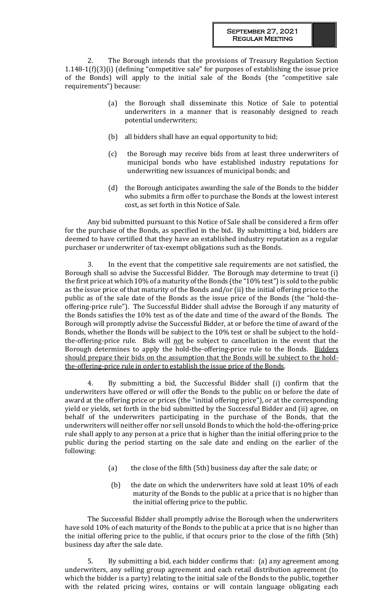The Borough intends that the provisions of Treasury Regulation Section 1.148-1(f)(3)(i) (defining "competitive sale" for purposes of establishing the issue price of the Bonds) will apply to the initial sale of the Bonds (the "competitive sale requirements") because:

- (a) the Borough shall disseminate this Notice of Sale to potential underwriters in a manner that is reasonably designed to reach potential underwriters;
- (b) all bidders shall have an equal opportunity to bid;
- (c) the Borough may receive bids from at least three underwriters of municipal bonds who have established industry reputations for underwriting new issuances of municipal bonds; and
- (d) the Borough anticipates awarding the sale of the Bonds to the bidder who submits a firm offer to purchase the Bonds at the lowest interest cost, as set forth in this Notice of Sale.

Any bid submitted pursuant to this Notice of Sale shall be considered a firm offer for the purchase of the Bonds, as specified in the bid**.** By submitting a bid, bidders are deemed to have certified that they have an established industry reputation as a regular purchaser or underwriter of tax-exempt obligations such as the Bonds.

3. In the event that the competitive sale requirements are not satisfied, the Borough shall so advise the Successful Bidder. The Borough may determine to treat (i) the first price at which 10% of a maturity of the Bonds (the "10% test") is sold to the public as the issue price of that maturity of the Bonds and/or (ii) the initial offering price to the public as of the sale date of the Bonds as the issue price of the Bonds (the "hold-theoffering-price rule"). The Successful Bidder shall advise the Borough if any maturity of the Bonds satisfies the 10% test as of the date and time of the award of the Bonds. The Borough will promptly advise the Successful Bidder, at or before the time of award of the Bonds, whether the Bonds will be subject to the 10% test or shall be subject to the holdthe-offering-price rule. Bids will not be subject to cancellation in the event that the Borough determines to apply the hold-the-offering-price rule to the Bonds. Bidders should prepare their bids on the assumption that the Bonds will be subject to the holdthe-offering-price rule in order to establish the issue price of the Bonds.

4. By submitting a bid, the Successful Bidder shall (i) confirm that the underwriters have offered or will offer the Bonds to the public on or before the date of award at the offering price or prices (the "initial offering price"), or at the corresponding yield or yields, set forth in the bid submitted by the Successful Bidder and (ii) agree, on behalf of the underwriters participating in the purchase of the Bonds, that the underwriters will neither offer nor sell unsold Bonds to which the hold-the-offering-price rule shall apply to any person at a price that is higher than the initial offering price to the public during the period starting on the sale date and ending on the earlier of the following:

- (a) the close of the fifth (5th) business day after the sale date; or
- (b) the date on which the underwriters have sold at least 10% of each maturity of the Bonds to the public at a price that is no higher than the initial offering price to the public.

The Successful Bidder shall promptly advise the Borough when the underwriters have sold 10% of each maturity of the Bonds to the public at a price that is no higher than the initial offering price to the public, if that occurs prior to the close of the fifth (5th) business day after the sale date.

5. By submitting a bid, each bidder confirms that: (a) any agreement among underwriters, any selling group agreement and each retail distribution agreement (to which the bidder is a party) relating to the initial sale of the Bonds to the public, together with the related pricing wires, contains or will contain language obligating each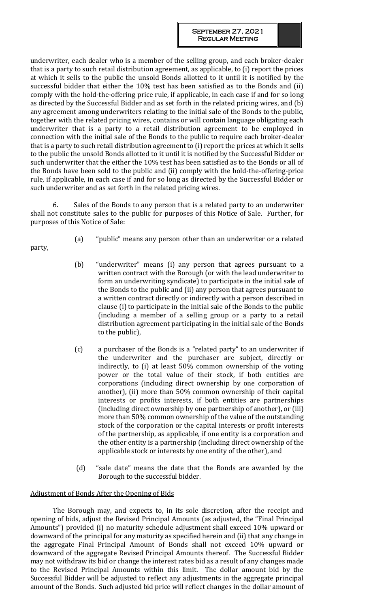underwriter, each dealer who is a member of the selling group, and each broker-dealer that is a party to such retail distribution agreement, as applicable, to (i) report the prices at which it sells to the public the unsold Bonds allotted to it until it is notified by the successful bidder that either the 10% test has been satisfied as to the Bonds and (ii) comply with the hold-the-offering price rule, if applicable, in each case if and for so long as directed by the Successful Bidder and as set forth in the related pricing wires, and (b) any agreement among underwriters relating to the initial sale of the Bonds to the public, together with the related pricing wires, contains or will contain language obligating each underwriter that is a party to a retail distribution agreement to be employed in connection with the initial sale of the Bonds to the public to require each broker-dealer that is a party to such retail distribution agreement to (i) report the prices at which it sells to the public the unsold Bonds allotted to it until it is notified by the Successful Bidder or such underwriter that the either the 10% test has been satisfied as to the Bonds or all of the Bonds have been sold to the public and (ii) comply with the hold-the-offering-price rule, if applicable, in each case if and for so long as directed by the Successful Bidder or such underwriter and as set forth in the related pricing wires.

6. Sales of the Bonds to any person that is a related party to an underwriter shall not constitute sales to the public for purposes of this Notice of Sale. Further, for purposes of this Notice of Sale:

party,

- (a) "public" means any person other than an underwriter or a related
- (b) "underwriter" means (i) any person that agrees pursuant to a written contract with the Borough (or with the lead underwriter to form an underwriting syndicate) to participate in the initial sale of the Bonds to the public and (ii) any person that agrees pursuant to a written contract directly or indirectly with a person described in clause (i) to participate in the initial sale of the Bonds to the public (including a member of a selling group or a party to a retail distribution agreement participating in the initial sale of the Bonds to the public),
- (c) a purchaser of the Bonds is a "related party" to an underwriter if the underwriter and the purchaser are subject, directly or indirectly, to (i) at least 50% common ownership of the voting power or the total value of their stock, if both entities are corporations (including direct ownership by one corporation of another), (ii) more than 50% common ownership of their capital interests or profits interests, if both entities are partnerships (including direct ownership by one partnership of another), or (iii) more than 50% common ownership of the value of the outstanding stock of the corporation or the capital interests or profit interests of the partnership, as applicable, if one entity is a corporation and the other entity is a partnership (including direct ownership of the applicable stock or interests by one entity of the other), and
- (d) "sale date" means the date that the Bonds are awarded by the Borough to the successful bidder.

# Adjustment of Bonds After the Opening of Bids

The Borough may, and expects to, in its sole discretion, after the receipt and opening of bids, adjust the Revised Principal Amounts (as adjusted, the "Final Principal Amounts") provided (i) no maturity schedule adjustment shall exceed 10% upward or downward of the principal for any maturity as specified herein and (ii) that any change in the aggregate Final Principal Amount of Bonds shall not exceed 10% upward or downward of the aggregate Revised Principal Amounts thereof. The Successful Bidder may not withdraw its bid or change the interest rates bid as a result of any changes made to the Revised Principal Amounts within this limit. The dollar amount bid by the Successful Bidder will be adjusted to reflect any adjustments in the aggregate principal amount of the Bonds. Such adjusted bid price will reflect changes in the dollar amount of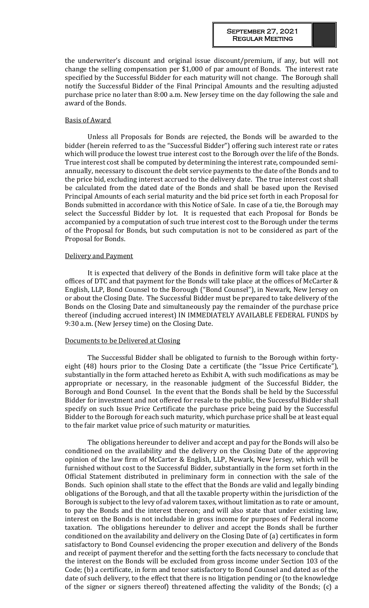the underwriter's discount and original issue discount/premium, if any, but will not change the selling compensation per \$1,000 of par amount of Bonds. The interest rate specified by the Successful Bidder for each maturity will not change. The Borough shall notify the Successful Bidder of the Final Principal Amounts and the resulting adjusted purchase price no later than 8:00 a.m. New Jersey time on the day following the sale and award of the Bonds.

#### Basis of Award

Unless all Proposals for Bonds are rejected, the Bonds will be awarded to the bidder (herein referred to as the "Successful Bidder") offering such interest rate or rates which will produce the lowest true interest cost to the Borough over the life of the Bonds. True interest cost shall be computed by determining the interest rate, compounded semiannually, necessary to discount the debt service payments to the date of the Bonds and to the price bid, excluding interest accrued to the delivery date. The true interest cost shall be calculated from the dated date of the Bonds and shall be based upon the Revised Principal Amounts of each serial maturity and the bid price set forth in each Proposal for Bonds submitted in accordance with this Notice of Sale. In case of a tie, the Borough may select the Successful Bidder by lot. It is requested that each Proposal for Bonds be accompanied by a computation of such true interest cost to the Borough under the terms of the Proposal for Bonds, but such computation is not to be considered as part of the Proposal for Bonds.

#### Delivery and Payment

It is expected that delivery of the Bonds in definitive form will take place at the offices of DTC and that payment for the Bonds will take place at the offices of McCarter & English, LLP, Bond Counsel to the Borough ("Bond Counsel"), in Newark, New Jersey on or about the Closing Date. The Successful Bidder must be prepared to take delivery of the Bonds on the Closing Date and simultaneously pay the remainder of the purchase price thereof (including accrued interest) IN IMMEDIATELY AVAILABLE FEDERAL FUNDS by 9:30 a.m. (New Jersey time) on the Closing Date.

## Documents to be Delivered at Closing

The Successful Bidder shall be obligated to furnish to the Borough within fortyeight (48) hours prior to the Closing Date a certificate (the "Issue Price Certificate"), substantially in the form attached hereto as Exhibit A, with such modifications as may be appropriate or necessary, in the reasonable judgment of the Successful Bidder, the Borough and Bond Counsel. In the event that the Bonds shall be held by the Successful Bidder for investment and not offered for resale to the public, the Successful Bidder shall specify on such Issue Price Certificate the purchase price being paid by the Successful Bidder to the Borough for each such maturity, which purchase price shall be at least equal to the fair market value price of such maturity or maturities.

The obligations hereunder to deliver and accept and pay for the Bonds will also be conditioned on the availability and the delivery on the Closing Date of the approving opinion of the law firm of McCarter & English, LLP, Newark, New Jersey, which will be furnished without cost to the Successful Bidder, substantially in the form set forth in the Official Statement distributed in preliminary form in connection with the sale of the Bonds. Such opinion shall state to the effect that the Bonds are valid and legally binding obligations of the Borough, and that all the taxable property within the jurisdiction of the Borough is subject to the levy of ad valorem taxes, without limitation as to rate or amount, to pay the Bonds and the interest thereon; and will also state that under existing law, interest on the Bonds is not includable in gross income for purposes of Federal income taxation. The obligations hereunder to deliver and accept the Bonds shall be further conditioned on the availability and delivery on the Closing Date of (a) certificates in form satisfactory to Bond Counsel evidencing the proper execution and delivery of the Bonds and receipt of payment therefor and the setting forth the facts necessary to conclude that the interest on the Bonds will be excluded from gross income under Section 103 of the Code; (b) a certificate, in form and tenor satisfactory to Bond Counsel and dated as of the date of such delivery, to the effect that there is no litigation pending or (to the knowledge of the signer or signers thereof) threatened affecting the validity of the Bonds; (c) a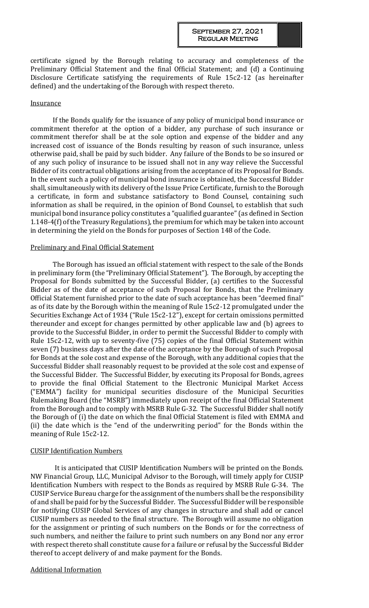certificate signed by the Borough relating to accuracy and completeness of the Preliminary Official Statement and the final Official Statement; and (d) a Continuing Disclosure Certificate satisfying the requirements of Rule 15c2-12 (as hereinafter defined) and the undertaking of the Borough with respect thereto.

#### **Insurance**

If the Bonds qualify for the issuance of any policy of municipal bond insurance or commitment therefor at the option of a bidder, any purchase of such insurance or commitment therefor shall be at the sole option and expense of the bidder and any increased cost of issuance of the Bonds resulting by reason of such insurance, unless otherwise paid, shall be paid by such bidder. Any failure of the Bonds to be so insured or of any such policy of insurance to be issued shall not in any way relieve the Successful Bidder of its contractual obligations arising from the acceptance of its Proposal for Bonds. In the event such a policy of municipal bond insurance is obtained, the Successful Bidder shall, simultaneously with its delivery of the Issue Price Certificate, furnish to the Borough a certificate, in form and substance satisfactory to Bond Counsel, containing such information as shall be required, in the opinion of Bond Counsel, to establish that such municipal bond insurance policy constitutes a "qualified guarantee" (as defined in Section 1.148-4(f) of the Treasury Regulations), the premium for which may be taken into account in determining the yield on the Bonds for purposes of Section 148 of the Code.

#### Preliminary and Final Official Statement

The Borough has issued an official statement with respect to the sale of the Bonds in preliminary form (the "Preliminary Official Statement"). The Borough, by accepting the Proposal for Bonds submitted by the Successful Bidder, (a) certifies to the Successful Bidder as of the date of acceptance of such Proposal for Bonds, that the Preliminary Official Statement furnished prior to the date of such acceptance has been "deemed final" as of its date by the Borough within the meaning of Rule 15c2-12 promulgated under the Securities Exchange Act of 1934 ("Rule 15c2-12"), except for certain omissions permitted thereunder and except for changes permitted by other applicable law and (b) agrees to provide to the Successful Bidder, in order to permit the Successful Bidder to comply with Rule 15c2-12, with up to seventy-five (75) copies of the final Official Statement within seven (7) business days after the date of the acceptance by the Borough of such Proposal for Bonds at the sole cost and expense of the Borough, with any additional copies that the Successful Bidder shall reasonably request to be provided at the sole cost and expense of the Successful Bidder. The Successful Bidder, by executing its Proposal for Bonds, agrees to provide the final Official Statement to the Electronic Municipal Market Access ("EMMA") facility for municipal securities disclosure of the Municipal Securities Rulemaking Board (the "MSRB") immediately upon receipt of the final Official Statement from the Borough and to comply with MSRB Rule G-32. The Successful Bidder shall notify the Borough of (i) the date on which the final Official Statement is filed with EMMA and (ii) the date which is the "end of the underwriting period" for the Bonds within the meaning of Rule 15c2-12.

#### CUSIP Identification Numbers

It is anticipated that CUSIP Identification Numbers will be printed on the Bonds. NW Financial Group, LLC, Municipal Advisor to the Borough, will timely apply for CUSIP Identification Numbers with respect to the Bonds as required by MSRB Rule G-34. The CUSIP Service Bureau charge for the assignment of the numbers shall be the responsibility of and shall be paid for by the Successful Bidder. The Successful Bidder will be responsible for notifying CUSIP Global Services of any changes in structure and shall add or cancel CUSIP numbers as needed to the final structure. The Borough will assume no obligation for the assignment or printing of such numbers on the Bonds or for the correctness of such numbers, and neither the failure to print such numbers on any Bond nor any error with respect thereto shall constitute cause for a failure or refusal by the Successful Bidder thereof to accept delivery of and make payment for the Bonds.

#### Additional Information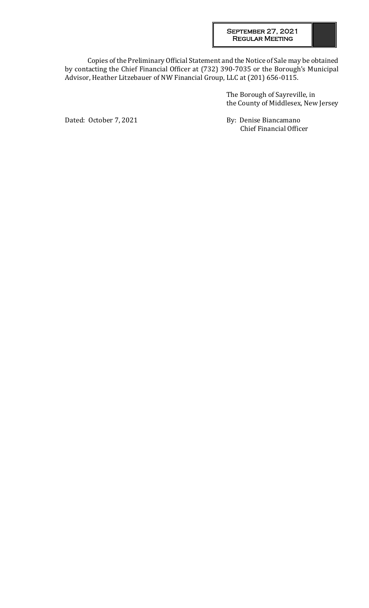Copies of the Preliminary Official Statement and the Notice of Sale may be obtained by contacting the Chief Financial Officer at (732) 390-7035 or the Borough's Municipal Advisor, Heather Litzebauer of NW Financial Group, LLC at (201) 656-0115.

> The Borough of Sayreville, in the County of Middlesex, New Jersey

Dated: October 7, 2021 By: Denise Biancamano Chief Financial Officer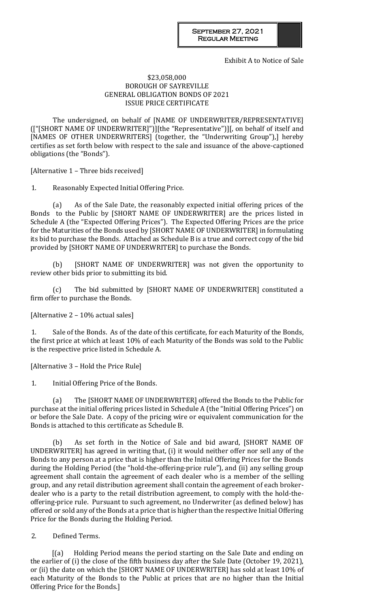Exhibit A to Notice of Sale

## \$23,058,000 BOROUGH OF SAYREVILLE GENERAL OBLIGATION BONDS OF 2021 ISSUE PRICE CERTIFICATE

The undersigned, on behalf of [NAME OF UNDERWRITER/REPRESENTATIVE] (["[SHORT NAME OF UNDERWRITER]")][the "Representative")][, on behalf of itself and [NAMES OF OTHER UNDERWRITERS] (together, the "Underwriting Group"),] hereby certifies as set forth below with respect to the sale and issuance of the above-captioned obligations (the "Bonds").

[Alternative 1 – Three bids received]

1. Reasonably Expected Initial Offering Price.

(a) As of the Sale Date, the reasonably expected initial offering prices of the Bonds to the Public by [SHORT NAME OF UNDERWRITER] are the prices listed in Schedule A (the "Expected Offering Prices"). The Expected Offering Prices are the price for the Maturities of the Bonds used by [SHORT NAME OF UNDERWRITER] in formulating its bid to purchase the Bonds. Attached as Schedule B is a true and correct copy of the bid provided by [SHORT NAME OF UNDERWRITER] to purchase the Bonds.

(b) [SHORT NAME OF UNDERWRITER] was not given the opportunity to review other bids prior to submitting its bid.

(c) The bid submitted by [SHORT NAME OF UNDERWRITER] constituted a firm offer to purchase the Bonds.

[Alternative 2 – 10% actual sales]

1. Sale of the Bonds. As of the date of this certificate, for each Maturity of the Bonds, the first price at which at least 10% of each Maturity of the Bonds was sold to the Public is the respective price listed in Schedule A.

[Alternative 3 – Hold the Price Rule]

1. Initial Offering Price of the Bonds.

(a) The [SHORT NAME OF UNDERWRITER] offered the Bonds to the Public for purchase at the initial offering prices listed in Schedule A (the "Initial Offering Prices") on or before the Sale Date. A copy of the pricing wire or equivalent communication for the Bonds is attached to this certificate as Schedule B.

(b) As set forth in the Notice of Sale and bid award, [SHORT NAME OF UNDERWRITER] has agreed in writing that, (i) it would neither offer nor sell any of the Bonds to any person at a price that is higher than the Initial Offering Prices for the Bonds during the Holding Period (the "hold-the-offering-price rule"), and (ii) any selling group agreement shall contain the agreement of each dealer who is a member of the selling group, and any retail distribution agreement shall contain the agreement of each brokerdealer who is a party to the retail distribution agreement, to comply with the hold-theoffering-price rule. Pursuant to such agreement, no Underwriter (as defined below) has offered or sold any of the Bonds at a price that is higher than the respective Initial Offering Price for the Bonds during the Holding Period.

2. Defined Terms.

[(a) Holding Period means the period starting on the Sale Date and ending on the earlier of (i) the close of the fifth business day after the Sale Date (October 19, 2021), or (ii) the date on which the [SHORT NAME OF UNDERWRITER] has sold at least 10% of each Maturity of the Bonds to the Public at prices that are no higher than the Initial Offering Price for the Bonds.]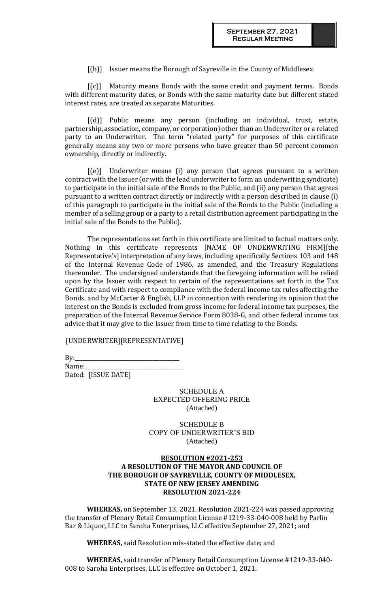[(b)] Issuer means the Borough of Sayreville in the County of Middlesex.

[(c)] Maturity means Bonds with the same credit and payment terms. Bonds with different maturity dates, or Bonds with the same maturity date but different stated interest rates, are treated as separate Maturities.

[(d)] Public means any person (including an individual, trust, estate, partnership, association, company, or corporation) other than an Underwriter or a related party to an Underwriter. The term "related party" for purposes of this certificate generally means any two or more persons who have greater than 50 percent common ownership, directly or indirectly.

[(e)] Underwriter means (i) any person that agrees pursuant to a written contract with the Issuer (or with the lead underwriter to form an underwriting syndicate) to participate in the initial sale of the Bonds to the Public, and (ii) any person that agrees pursuant to a written contract directly or indirectly with a person described in clause (i) of this paragraph to participate in the initial sale of the Bonds to the Public (including a member of a selling group or a party to a retail distribution agreement participating in the initial sale of the Bonds to the Public).

The representations set forth in this certificate are limited to factual matters only. Nothing in this certificate represents [NAME OF UNDERWRITING FIRM][the Representative's] interpretation of any laws, including specifically Sections 103 and 148 of the Internal Revenue Code of 1986, as amended, and the Treasury Regulations thereunder. The undersigned understands that the foregoing information will be relied upon by the Issuer with respect to certain of the representations set forth in the Tax Certificate and with respect to compliance with the federal income tax rules affecting the Bonds, and by McCarter & English, LLP in connection with rendering its opinion that the interest on the Bonds is excluded from gross income for federal income tax purposes, the preparation of the Internal Revenue Service Form 8038-G, and other federal income tax advice that it may give to the Issuer from time to time relating to the Bonds.

[UNDERWRITER][REPRESENTATIVE]

 $By:$ 

Name: Dated: [ISSUE DATE]

> SCHEDULE A EXPECTED OFFERING PRICE (Attached)

SCHEDULE B COPY OF UNDERWRITER'S BID (Attached)

# **RESOLUTION #2021-253 A RESOLUTION OF THE MAYOR AND COUNCIL OF THE BOROUGH OF SAYREVILLE, COUNTY OF MIDDLESEX, STATE OF NEW JERSEY AMENDING RESOLUTION 2021-224**

**WHEREAS,** on September 13, 2021, Resolution 2021-224 was passed approving the transfer of Plenary Retail Consumption License #1219-33-040-008 held by Parlin Bar & Liquor, LLC to Saroha Enterprises, LLC effective September 27, 2021; and

**WHEREAS,** said Resolution mis-stated the effective date; and

**WHEREAS,** said transfer of Plenary Retail Consumption License #1219-33-040- 008 to Saroha Enterprises, LLC is effective on October 1, 2021.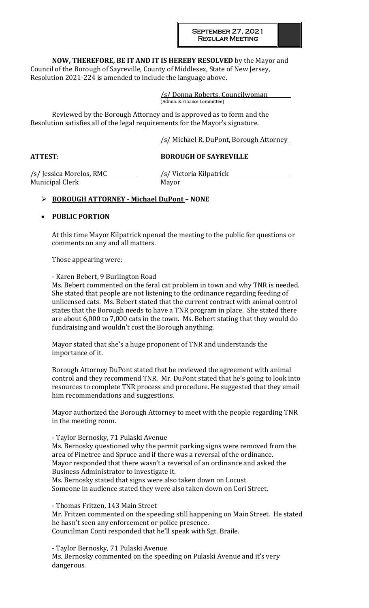**NOW, THEREFORE, BE IT AND IT IS HEREBY RESOLVED** by the Mayor and Council of the Borough of Sayreville, County of Middlesex, State of New Jersey,

Resolution 2021-224 is amended to include the language above.

/s/ Donna Roberts, Councilwoman (Admin. & Finance Committee)

Reviewed by the Borough Attorney and is approved as to form and the Resolution satisfies all of the legal requirements for the Mayor's signature.

/s/ Michael R. DuPont, Borough Attorney

# **ATTEST: BOROUGH OF SAYREVILLE**

/s/ Jessica Morelos, RMC /s/ Victoria Kilpatrick Municipal Clerk Mayor

# **BOROUGH ATTORNEY - Michael DuPont – NONE**

# **PUBLIC PORTION**

At this time Mayor Kilpatrick opened the meeting to the public for questions or comments on any and all matters.

Those appearing were:

- Karen Bebert, 9 Burlington Road

Ms. Bebert commented on the feral cat problem in town and why TNR is needed. She stated that people are not listening to the ordinance regarding feeding of unlicensed cats. Ms. Bebert stated that the current contract with animal control states that the Borough needs to have a TNR program in place. She stated there are about 6,000 to 7,000 cats in the town. Ms. Bebert stating that they would do fundraising and wouldn't cost the Borough anything.

Mayor stated that she's a huge proponent of TNR and understands the importance of it.

Borough Attorney DuPont stated that he reviewed the agreement with animal control and they recommend TNR. Mr. DuPont stated that he's going to look into resources to complete TNR process and procedure. He suggested that they email him recommendations and suggestions.

Mayor authorized the Borough Attorney to meet with the people regarding TNR in the meeting room.

- Taylor Bernosky, 71 Pulaski Avenue Ms. Bernosky questioned why the permit parking signs were removed from the area of Pinetree and Spruce and if there was a reversal of the ordinance.

Mayor responded that there wasn't a reversal of an ordinance and asked the Business Administrator to investigate it.

Ms. Bernosky stated that signs were also taken down on Locust. Someone in audience stated they were also taken down on Cori Street.

- Thomas Fritzen, 143 Main Street Mr. Fritzen commented on the speeding still happening on Main Street. He stated he hasn't seen any enforcement or police presence. Councilman Conti responded that he'll speak with Sgt. Braile.

- Taylor Bernosky, 71 Pulaski Avenue Ms. Bernosky commented on the speeding on Pulaski Avenue and it's very dangerous.